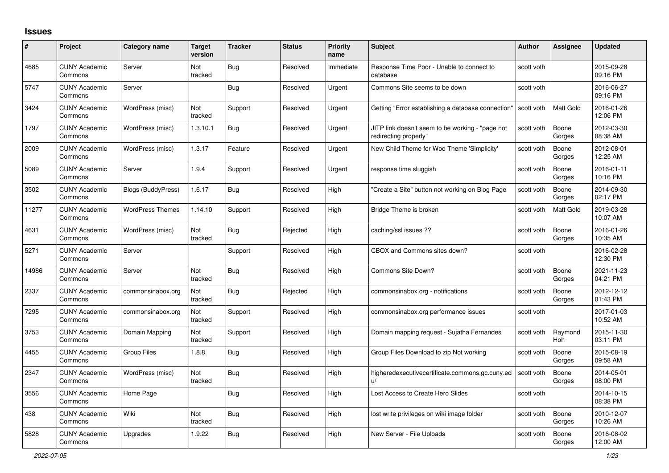## **Issues**

| #     | Project                         | Category name             | <b>Target</b><br>version | <b>Tracker</b> | <b>Status</b> | <b>Priority</b><br>name | <b>Subject</b>                                                            | Author     | Assignee              | <b>Updated</b>         |
|-------|---------------------------------|---------------------------|--------------------------|----------------|---------------|-------------------------|---------------------------------------------------------------------------|------------|-----------------------|------------------------|
| 4685  | <b>CUNY Academic</b><br>Commons | Server                    | Not<br>tracked           | Bug            | Resolved      | Immediate               | Response Time Poor - Unable to connect to<br>database                     | scott voth |                       | 2015-09-28<br>09:16 PM |
| 5747  | <b>CUNY Academic</b><br>Commons | Server                    |                          | <b>Bug</b>     | Resolved      | Urgent                  | Commons Site seems to be down                                             | scott voth |                       | 2016-06-27<br>09:16 PM |
| 3424  | <b>CUNY Academic</b><br>Commons | WordPress (misc)          | Not<br>tracked           | Support        | Resolved      | Urgent                  | Getting "Error establishing a database connection'                        | scott voth | <b>Matt Gold</b>      | 2016-01-26<br>12:06 PM |
| 1797  | <b>CUNY Academic</b><br>Commons | WordPress (misc)          | 1.3.10.1                 | Bug            | Resolved      | Urgent                  | JITP link doesn't seem to be working - "page not<br>redirecting properly" | scott voth | Boone<br>Gorges       | 2012-03-30<br>08:38 AM |
| 2009  | <b>CUNY Academic</b><br>Commons | WordPress (misc)          | 1.3.17                   | Feature        | Resolved      | Urgent                  | New Child Theme for Woo Theme 'Simplicity'                                | scott voth | Boone<br>Gorges       | 2012-08-01<br>12:25 AM |
| 5089  | <b>CUNY Academic</b><br>Commons | Server                    | 1.9.4                    | Support        | Resolved      | Urgent                  | response time sluggish                                                    | scott voth | Boone<br>Gorges       | 2016-01-11<br>10:16 PM |
| 3502  | <b>CUNY Academic</b><br>Commons | <b>Blogs (BuddyPress)</b> | 1.6.17                   | <b>Bug</b>     | Resolved      | High                    | "Create a Site" button not working on Blog Page                           | scott voth | Boone<br>Gorges       | 2014-09-30<br>02:17 PM |
| 11277 | <b>CUNY Academic</b><br>Commons | <b>WordPress Themes</b>   | 1.14.10                  | Support        | Resolved      | High                    | Bridge Theme is broken                                                    | scott voth | Matt Gold             | 2019-03-28<br>10:07 AM |
| 4631  | <b>CUNY Academic</b><br>Commons | WordPress (misc)          | Not<br>tracked           | <b>Bug</b>     | Rejected      | High                    | caching/ssl issues ??                                                     | scott voth | Boone<br>Gorges       | 2016-01-26<br>10:35 AM |
| 5271  | <b>CUNY Academic</b><br>Commons | Server                    |                          | Support        | Resolved      | High                    | CBOX and Commons sites down?                                              | scott voth |                       | 2016-02-28<br>12:30 PM |
| 14986 | <b>CUNY Academic</b><br>Commons | Server                    | Not<br>tracked           | Bug            | Resolved      | High                    | Commons Site Down?                                                        | scott voth | Boone<br>Gorges       | 2021-11-23<br>04:21 PM |
| 2337  | <b>CUNY Academic</b><br>Commons | commonsinabox.org         | Not<br>tracked           | Bug            | Rejected      | High                    | commonsinabox.org - notifications                                         | scott voth | Boone<br>Gorges       | 2012-12-12<br>01:43 PM |
| 7295  | <b>CUNY Academic</b><br>Commons | commonsinabox.org         | Not<br>tracked           | Support        | Resolved      | High                    | commonsinabox.org performance issues                                      | scott voth |                       | 2017-01-03<br>10:52 AM |
| 3753  | <b>CUNY Academic</b><br>Commons | Domain Mapping            | Not<br>tracked           | Support        | Resolved      | High                    | Domain mapping request - Sujatha Fernandes                                | scott voth | Raymond<br><b>Hoh</b> | 2015-11-30<br>03:11 PM |
| 4455  | <b>CUNY Academic</b><br>Commons | <b>Group Files</b>        | 1.8.8                    | Bug            | Resolved      | High                    | Group Files Download to zip Not working                                   | scott voth | Boone<br>Gorges       | 2015-08-19<br>09:58 AM |
| 2347  | <b>CUNY Academic</b><br>Commons | WordPress (misc)          | Not<br>tracked           | Bug            | Resolved      | High                    | higheredexecutivecertificate.commons.gc.cuny.ed                           | scott voth | Boone<br>Gorges       | 2014-05-01<br>08:00 PM |
| 3556  | <b>CUNY Academic</b><br>Commons | Home Page                 |                          | Bug            | Resolved      | High                    | Lost Access to Create Hero Slides                                         | scott voth |                       | 2014-10-15<br>08:38 PM |
| 438   | <b>CUNY Academic</b><br>Commons | Wiki                      | Not<br>tracked           | <b>Bug</b>     | Resolved      | High                    | lost write privileges on wiki image folder                                | scott voth | Boone<br>Gorges       | 2010-12-07<br>10:26 AM |
| 5828  | <b>CUNY Academic</b><br>Commons | Upgrades                  | 1.9.22                   | Bug            | Resolved      | High                    | New Server - File Uploads                                                 | scott voth | Boone<br>Gorges       | 2016-08-02<br>12:00 AM |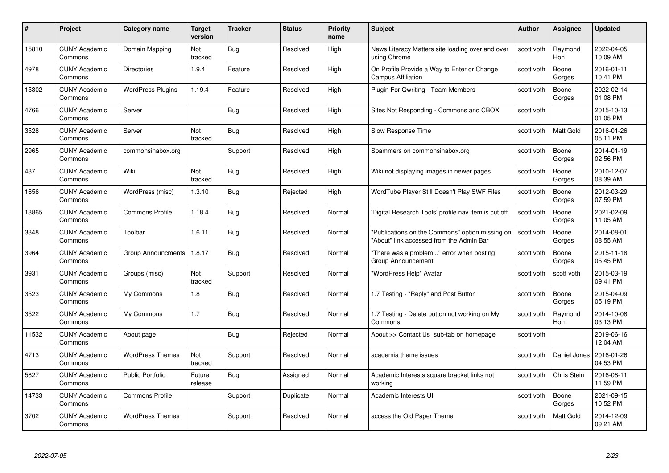| #     | Project                         | <b>Category name</b>      | Target<br>version | <b>Tracker</b> | <b>Status</b> | <b>Priority</b><br>name | <b>Subject</b>                                                                              | <b>Author</b> | <b>Assignee</b>       | <b>Updated</b>         |
|-------|---------------------------------|---------------------------|-------------------|----------------|---------------|-------------------------|---------------------------------------------------------------------------------------------|---------------|-----------------------|------------------------|
| 15810 | <b>CUNY Academic</b><br>Commons | Domain Mapping            | Not<br>tracked    | Bug            | Resolved      | High                    | News Literacy Matters site loading over and over<br>using Chrome                            | scott voth    | Raymond<br><b>Hoh</b> | 2022-04-05<br>10:09 AM |
| 4978  | <b>CUNY Academic</b><br>Commons | <b>Directories</b>        | 1.9.4             | Feature        | Resolved      | High                    | On Profile Provide a Way to Enter or Change<br><b>Campus Affiliation</b>                    | scott voth    | Boone<br>Gorges       | 2016-01-11<br>10:41 PM |
| 15302 | <b>CUNY Academic</b><br>Commons | <b>WordPress Plugins</b>  | 1.19.4            | Feature        | Resolved      | High                    | Plugin For Qwriting - Team Members                                                          | scott voth    | Boone<br>Gorges       | 2022-02-14<br>01:08 PM |
| 4766  | <b>CUNY Academic</b><br>Commons | Server                    |                   | Bug            | Resolved      | High                    | Sites Not Responding - Commons and CBOX                                                     | scott voth    |                       | 2015-10-13<br>01:05 PM |
| 3528  | CUNY Academic<br>Commons        | Server                    | Not<br>tracked    | <b>Bug</b>     | Resolved      | High                    | Slow Response Time                                                                          | scott voth    | <b>Matt Gold</b>      | 2016-01-26<br>05:11 PM |
| 2965  | <b>CUNY Academic</b><br>Commons | commonsinabox.org         |                   | Support        | Resolved      | High                    | Spammers on commonsinabox.org                                                               | scott voth    | Boone<br>Gorges       | 2014-01-19<br>02:56 PM |
| 437   | <b>CUNY Academic</b><br>Commons | Wiki                      | Not<br>tracked    | Bug            | Resolved      | High                    | Wiki not displaying images in newer pages                                                   | scott voth    | Boone<br>Gorges       | 2010-12-07<br>08:39 AM |
| 1656  | <b>CUNY Academic</b><br>Commons | WordPress (misc)          | 1.3.10            | Bug            | Rejected      | High                    | WordTube Player Still Doesn't Play SWF Files                                                | scott voth    | Boone<br>Gorges       | 2012-03-29<br>07:59 PM |
| 13865 | <b>CUNY Academic</b><br>Commons | <b>Commons Profile</b>    | 1.18.4            | Bug            | Resolved      | Normal                  | 'Digital Research Tools' profile nav item is cut off                                        | scott voth    | Boone<br>Gorges       | 2021-02-09<br>11:05 AM |
| 3348  | <b>CUNY Academic</b><br>Commons | Toolbar                   | 1.6.11            | Bug            | Resolved      | Normal                  | "Publications on the Commons" option missing on<br>"About" link accessed from the Admin Bar | scott voth    | Boone<br>Gorges       | 2014-08-01<br>08:55 AM |
| 3964  | CUNY Academic<br>Commons        | <b>Group Announcments</b> | 1.8.17            | Bug            | Resolved      | Normal                  | "There was a problem" error when posting<br>Group Announcement                              | scott voth    | Boone<br>Gorges       | 2015-11-18<br>05:45 PM |
| 3931  | <b>CUNY Academic</b><br>Commons | Groups (misc)             | Not<br>tracked    | Support        | Resolved      | Normal                  | "WordPress Help" Avatar                                                                     | scott voth    | scott voth            | 2015-03-19<br>09:41 PM |
| 3523  | <b>CUNY Academic</b><br>Commons | My Commons                | 1.8               | Bug            | Resolved      | Normal                  | 1.7 Testing - "Reply" and Post Button                                                       | scott voth    | Boone<br>Gorges       | 2015-04-09<br>05:19 PM |
| 3522  | <b>CUNY Academic</b><br>Commons | My Commons                | 1.7               | Bug            | Resolved      | Normal                  | 1.7 Testing - Delete button not working on My<br>Commons                                    | scott voth    | Raymond<br>Hoh        | 2014-10-08<br>03:13 PM |
| 11532 | <b>CUNY Academic</b><br>Commons | About page                |                   | Bug            | Rejected      | Normal                  | About >> Contact Us sub-tab on homepage                                                     | scott voth    |                       | 2019-06-16<br>12:04 AM |
| 4713  | <b>CUNY Academic</b><br>Commons | <b>WordPress Themes</b>   | Not<br>tracked    | Support        | Resolved      | Normal                  | academia theme issues                                                                       | scott voth    | Daniel Jones          | 2016-01-26<br>04:53 PM |
| 5827  | <b>CUNY Academic</b><br>Commons | <b>Public Portfolio</b>   | Future<br>release | <b>Bug</b>     | Assigned      | Normal                  | Academic Interests square bracket links not<br>working                                      | scott voth    | Chris Stein           | 2016-08-11<br>11:59 PM |
| 14733 | <b>CUNY Academic</b><br>Commons | <b>Commons Profile</b>    |                   | Support        | Duplicate     | Normal                  | Academic Interests UI                                                                       | scott voth    | Boone<br>Gorges       | 2021-09-15<br>10:52 PM |
| 3702  | CUNY Academic<br>Commons        | <b>WordPress Themes</b>   |                   | Support        | Resolved      | Normal                  | access the Old Paper Theme                                                                  | scott voth    | Matt Gold             | 2014-12-09<br>09:21 AM |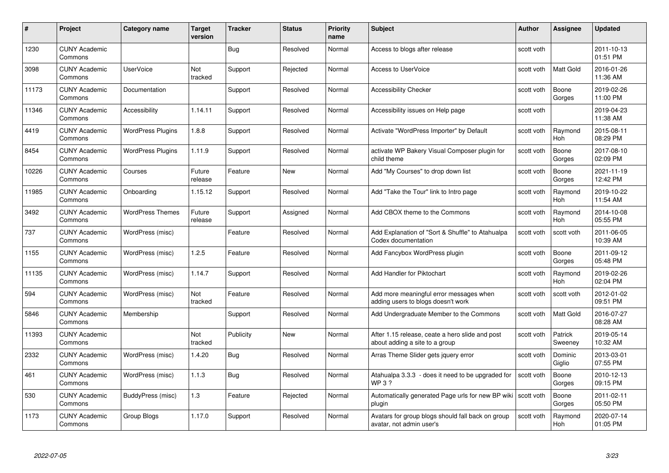| #     | Project                         | Category name            | <b>Target</b><br>version | <b>Tracker</b> | <b>Status</b> | <b>Priority</b><br>name | <b>Subject</b>                                                                    | <b>Author</b> | <b>Assignee</b>       | <b>Updated</b>         |
|-------|---------------------------------|--------------------------|--------------------------|----------------|---------------|-------------------------|-----------------------------------------------------------------------------------|---------------|-----------------------|------------------------|
| 1230  | <b>CUNY Academic</b><br>Commons |                          |                          | Bug            | Resolved      | Normal                  | Access to blogs after release                                                     | scott voth    |                       | 2011-10-13<br>01:51 PM |
| 3098  | <b>CUNY Academic</b><br>Commons | <b>UserVoice</b>         | Not<br>tracked           | Support        | Rejected      | Normal                  | Access to UserVoice                                                               | scott voth    | <b>Matt Gold</b>      | 2016-01-26<br>11:36 AM |
| 11173 | <b>CUNY Academic</b><br>Commons | Documentation            |                          | Support        | Resolved      | Normal                  | <b>Accessibility Checker</b>                                                      | scott voth    | Boone<br>Gorges       | 2019-02-26<br>11:00 PM |
| 11346 | <b>CUNY Academic</b><br>Commons | Accessibility            | 1.14.11                  | Support        | Resolved      | Normal                  | Accessibility issues on Help page                                                 | scott voth    |                       | 2019-04-23<br>11:38 AM |
| 4419  | <b>CUNY Academic</b><br>Commons | <b>WordPress Plugins</b> | 1.8.8                    | Support        | Resolved      | Normal                  | Activate "WordPress Importer" by Default                                          | scott voth    | Raymond<br>Hoh        | 2015-08-11<br>08:29 PM |
| 8454  | <b>CUNY Academic</b><br>Commons | <b>WordPress Plugins</b> | 1.11.9                   | Support        | Resolved      | Normal                  | activate WP Bakery Visual Composer plugin for<br>child theme                      | scott voth    | Boone<br>Gorges       | 2017-08-10<br>02:09 PM |
| 10226 | <b>CUNY Academic</b><br>Commons | Courses                  | Future<br>release        | Feature        | New           | Normal                  | Add "My Courses" to drop down list                                                | scott voth    | Boone<br>Gorges       | 2021-11-19<br>12:42 PM |
| 11985 | <b>CUNY Academic</b><br>Commons | Onboarding               | 1.15.12                  | Support        | Resolved      | Normal                  | Add "Take the Tour" link to Intro page                                            | scott voth    | Raymond<br><b>Hoh</b> | 2019-10-22<br>11:54 AM |
| 3492  | <b>CUNY Academic</b><br>Commons | <b>WordPress Themes</b>  | Future<br>release        | Support        | Assigned      | Normal                  | Add CBOX theme to the Commons                                                     | scott voth    | Raymond<br>Hoh        | 2014-10-08<br>05:55 PM |
| 737   | <b>CUNY Academic</b><br>Commons | WordPress (misc)         |                          | Feature        | Resolved      | Normal                  | Add Explanation of "Sort & Shuffle" to Atahualpa<br>Codex documentation           | scott voth    | scott voth            | 2011-06-05<br>10:39 AM |
| 1155  | <b>CUNY Academic</b><br>Commons | WordPress (misc)         | 1.2.5                    | Feature        | Resolved      | Normal                  | Add Fancybox WordPress plugin                                                     | scott voth    | Boone<br>Gorges       | 2011-09-12<br>05:48 PM |
| 11135 | <b>CUNY Academic</b><br>Commons | WordPress (misc)         | 1.14.7                   | Support        | Resolved      | Normal                  | Add Handler for Piktochart                                                        | scott voth    | Raymond<br>Hoh        | 2019-02-26<br>02:04 PM |
| 594   | <b>CUNY Academic</b><br>Commons | WordPress (misc)         | Not<br>tracked           | Feature        | Resolved      | Normal                  | Add more meaningful error messages when<br>adding users to blogs doesn't work     | scott voth    | scott voth            | 2012-01-02<br>09:51 PM |
| 5846  | <b>CUNY Academic</b><br>Commons | Membership               |                          | Support        | Resolved      | Normal                  | Add Undergraduate Member to the Commons                                           | scott voth    | Matt Gold             | 2016-07-27<br>08:28 AM |
| 11393 | <b>CUNY Academic</b><br>Commons |                          | Not<br>tracked           | Publicity      | New           | Normal                  | After 1.15 release, ceate a hero slide and post<br>about adding a site to a group | scott voth    | Patrick<br>Sweeney    | 2019-05-14<br>10:32 AM |
| 2332  | <b>CUNY Academic</b><br>Commons | WordPress (misc)         | 1.4.20                   | Bug            | Resolved      | Normal                  | Arras Theme Slider gets jquery error                                              | scott voth    | Dominic<br>Giglio     | 2013-03-01<br>07:55 PM |
| 461   | <b>CUNY Academic</b><br>Commons | WordPress (misc)         | 1.1.3                    | Bug            | Resolved      | Normal                  | Atahualpa 3.3.3 - does it need to be upgraded for<br><b>WP3?</b>                  | scott voth    | Boone<br>Gorges       | 2010-12-13<br>09:15 PM |
| 530   | <b>CUNY Academic</b><br>Commons | BuddyPress (misc)        | 1.3                      | Feature        | Rejected      | Normal                  | Automatically generated Page urls for new BP wiki<br>plugin                       | scott voth    | Boone<br>Gorges       | 2011-02-11<br>05:50 PM |
| 1173  | <b>CUNY Academic</b><br>Commons | Group Blogs              | 1.17.0                   | Support        | Resolved      | Normal                  | Avatars for group blogs should fall back on group<br>avatar, not admin user's     | scott voth    | Raymond<br>Hoh        | 2020-07-14<br>01:05 PM |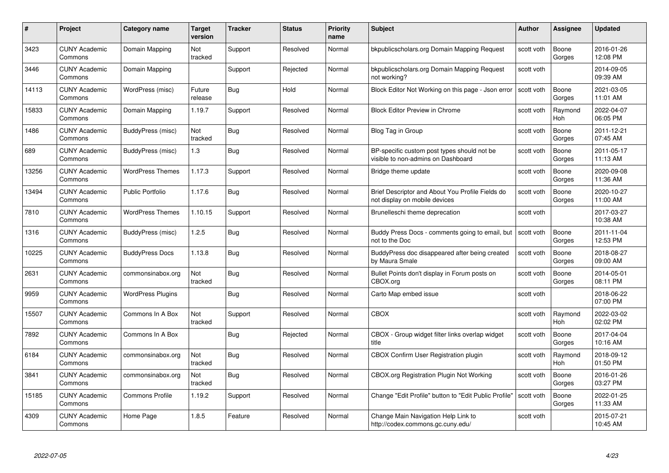| #     | Project                         | <b>Category name</b>     | Target<br>version | <b>Tracker</b> | <b>Status</b> | <b>Priority</b><br>name | <b>Subject</b>                                                                    | <b>Author</b> | <b>Assignee</b> | <b>Updated</b>         |
|-------|---------------------------------|--------------------------|-------------------|----------------|---------------|-------------------------|-----------------------------------------------------------------------------------|---------------|-----------------|------------------------|
| 3423  | <b>CUNY Academic</b><br>Commons | Domain Mapping           | Not<br>tracked    | Support        | Resolved      | Normal                  | bkpublicscholars.org Domain Mapping Request                                       | scott voth    | Boone<br>Gorges | 2016-01-26<br>12:08 PM |
| 3446  | <b>CUNY Academic</b><br>Commons | Domain Mapping           |                   | Support        | Rejected      | Normal                  | bkpublicscholars.org Domain Mapping Request<br>not working?                       | scott voth    |                 | 2014-09-05<br>09:39 AM |
| 14113 | <b>CUNY Academic</b><br>Commons | WordPress (misc)         | Future<br>release | Bug            | Hold          | Normal                  | Block Editor Not Working on this page - Json error                                | scott voth    | Boone<br>Gorges | 2021-03-05<br>11:01 AM |
| 15833 | <b>CUNY Academic</b><br>Commons | Domain Mapping           | 1.19.7            | Support        | Resolved      | Normal                  | <b>Block Editor Preview in Chrome</b>                                             | scott voth    | Raymond<br>Hoh  | 2022-04-07<br>06:05 PM |
| 1486  | <b>CUNY Academic</b><br>Commons | BuddyPress (misc)        | Not<br>tracked    | Bug            | Resolved      | Normal                  | Blog Tag in Group                                                                 | scott voth    | Boone<br>Gorges | 2011-12-21<br>07:45 AM |
| 689   | <b>CUNY Academic</b><br>Commons | BuddyPress (misc)        | 1.3               | <b>Bug</b>     | Resolved      | Normal                  | BP-specific custom post types should not be<br>visible to non-admins on Dashboard | scott voth    | Boone<br>Gorges | 2011-05-17<br>11:13 AM |
| 13256 | <b>CUNY Academic</b><br>Commons | <b>WordPress Themes</b>  | 1.17.3            | Support        | Resolved      | Normal                  | Bridge theme update                                                               | scott voth    | Boone<br>Gorges | 2020-09-08<br>11:36 AM |
| 13494 | <b>CUNY Academic</b><br>Commons | <b>Public Portfolio</b>  | 1.17.6            | Bug            | Resolved      | Normal                  | Brief Descriptor and About You Profile Fields do<br>not display on mobile devices | scott voth    | Boone<br>Gorges | 2020-10-27<br>11:00 AM |
| 7810  | <b>CUNY Academic</b><br>Commons | <b>WordPress Themes</b>  | 1.10.15           | Support        | Resolved      | Normal                  | Brunelleschi theme deprecation                                                    | scott voth    |                 | 2017-03-27<br>10:38 AM |
| 1316  | <b>CUNY Academic</b><br>Commons | BuddyPress (misc)        | 1.2.5             | Bug            | Resolved      | Normal                  | Buddy Press Docs - comments going to email, but<br>not to the Doc                 | scott voth    | Boone<br>Gorges | 2011-11-04<br>12:53 PM |
| 10225 | CUNY Academic<br>Commons        | <b>BuddyPress Docs</b>   | 1.13.8            | Bug            | Resolved      | Normal                  | BuddyPress doc disappeared after being created<br>by Maura Smale                  | scott voth    | Boone<br>Gorges | 2018-08-27<br>09:00 AM |
| 2631  | <b>CUNY Academic</b><br>Commons | commonsinabox.org        | Not<br>tracked    | <b>Bug</b>     | Resolved      | Normal                  | Bullet Points don't display in Forum posts on<br>CBOX.org                         | scott voth    | Boone<br>Gorges | 2014-05-01<br>08:11 PM |
| 9959  | <b>CUNY Academic</b><br>Commons | <b>WordPress Plugins</b> |                   | <b>Bug</b>     | Resolved      | Normal                  | Carto Map embed issue                                                             | scott voth    |                 | 2018-06-22<br>07:00 PM |
| 15507 | <b>CUNY Academic</b><br>Commons | Commons In A Box         | Not<br>tracked    | Support        | Resolved      | Normal                  | <b>CBOX</b>                                                                       | scott voth    | Raymond<br>Hoh  | 2022-03-02<br>02:02 PM |
| 7892  | <b>CUNY Academic</b><br>Commons | Commons In A Box         |                   | Bug            | Rejected      | Normal                  | CBOX - Group widget filter links overlap widget<br>title                          | scott voth    | Boone<br>Gorges | 2017-04-04<br>10:16 AM |
| 6184  | <b>CUNY Academic</b><br>Commons | commonsinabox.org        | Not<br>tracked    | Bug            | Resolved      | Normal                  | CBOX Confirm User Registration plugin                                             | scott voth    | Raymond<br>Hoh  | 2018-09-12<br>01:50 PM |
| 3841  | <b>CUNY Academic</b><br>Commons | commonsinabox.org        | Not<br>tracked    | <b>Bug</b>     | Resolved      | Normal                  | CBOX.org Registration Plugin Not Working                                          | scott voth    | Boone<br>Gorges | 2016-01-26<br>03:27 PM |
| 15185 | <b>CUNY Academic</b><br>Commons | <b>Commons Profile</b>   | 1.19.2            | Support        | Resolved      | Normal                  | Change "Edit Profile" button to "Edit Public Profile"                             | scott voth    | Boone<br>Gorges | 2022-01-25<br>11:33 AM |
| 4309  | <b>CUNY Academic</b><br>Commons | Home Page                | 1.8.5             | Feature        | Resolved      | Normal                  | Change Main Navigation Help Link to<br>http://codex.commons.gc.cuny.edu/          | scott voth    |                 | 2015-07-21<br>10:45 AM |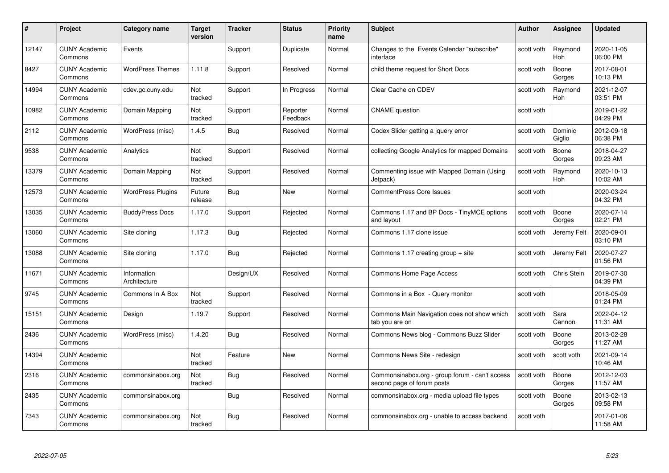| #     | Project                         | <b>Category name</b>        | Target<br>version | <b>Tracker</b> | <b>Status</b>        | <b>Priority</b><br>name | <b>Subject</b>                                                               | <b>Author</b> | <b>Assignee</b>       | <b>Updated</b>         |
|-------|---------------------------------|-----------------------------|-------------------|----------------|----------------------|-------------------------|------------------------------------------------------------------------------|---------------|-----------------------|------------------------|
| 12147 | <b>CUNY Academic</b><br>Commons | Events                      |                   | Support        | Duplicate            | Normal                  | Changes to the Events Calendar "subscribe"<br>interface                      | scott voth    | Raymond<br><b>Hoh</b> | 2020-11-05<br>06:00 PM |
| 8427  | <b>CUNY Academic</b><br>Commons | <b>WordPress Themes</b>     | 1.11.8            | Support        | Resolved             | Normal                  | child theme request for Short Docs                                           | scott voth    | Boone<br>Gorges       | 2017-08-01<br>10:13 PM |
| 14994 | <b>CUNY Academic</b><br>Commons | cdev.gc.cuny.edu            | Not<br>tracked    | Support        | In Progress          | Normal                  | Clear Cache on CDEV                                                          | scott voth    | Raymond<br>Hoh        | 2021-12-07<br>03:51 PM |
| 10982 | <b>CUNY Academic</b><br>Commons | Domain Mapping              | Not<br>tracked    | Support        | Reporter<br>Feedback | Normal                  | <b>CNAME</b> question                                                        | scott voth    |                       | 2019-01-22<br>04:29 PM |
| 2112  | <b>CUNY Academic</b><br>Commons | WordPress (misc)            | 1.4.5             | Bug            | Resolved             | Normal                  | Codex Slider getting a jquery error                                          | scott voth    | Dominic<br>Giglio     | 2012-09-18<br>06:38 PM |
| 9538  | <b>CUNY Academic</b><br>Commons | Analytics                   | Not<br>tracked    | Support        | Resolved             | Normal                  | collecting Google Analytics for mapped Domains                               | scott voth    | Boone<br>Gorges       | 2018-04-27<br>09:23 AM |
| 13379 | <b>CUNY Academic</b><br>Commons | Domain Mapping              | Not<br>tracked    | Support        | Resolved             | Normal                  | Commenting issue with Mapped Domain (Using<br>Jetpack)                       | scott voth    | Raymond<br>Hoh        | 2020-10-13<br>10:02 AM |
| 12573 | <b>CUNY Academic</b><br>Commons | <b>WordPress Plugins</b>    | Future<br>release | Bug            | <b>New</b>           | Normal                  | <b>CommentPress Core Issues</b>                                              | scott voth    |                       | 2020-03-24<br>04:32 PM |
| 13035 | <b>CUNY Academic</b><br>Commons | <b>BuddyPress Docs</b>      | 1.17.0            | Support        | Rejected             | Normal                  | Commons 1.17 and BP Docs - TinyMCE options<br>and layout                     | scott voth    | Boone<br>Gorges       | 2020-07-14<br>02:21 PM |
| 13060 | <b>CUNY Academic</b><br>Commons | Site cloning                | 1.17.3            | Bug            | Rejected             | Normal                  | Commons 1.17 clone issue                                                     | scott voth    | Jeremy Felt           | 2020-09-01<br>03:10 PM |
| 13088 | <b>CUNY Academic</b><br>Commons | Site cloning                | 1.17.0            | Bug            | Rejected             | Normal                  | Commons 1.17 creating group $+$ site                                         | scott voth    | Jeremy Felt           | 2020-07-27<br>01:56 PM |
| 11671 | <b>CUNY Academic</b><br>Commons | Information<br>Architecture |                   | Design/UX      | Resolved             | Normal                  | Commons Home Page Access                                                     | scott voth    | Chris Stein           | 2019-07-30<br>04:39 PM |
| 9745  | <b>CUNY Academic</b><br>Commons | Commons In A Box            | Not<br>tracked    | Support        | Resolved             | Normal                  | Commons in a Box - Query monitor                                             | scott voth    |                       | 2018-05-09<br>01:24 PM |
| 15151 | <b>CUNY Academic</b><br>Commons | Design                      | 1.19.7            | Support        | Resolved             | Normal                  | Commons Main Navigation does not show which<br>tab you are on                | scott voth    | Sara<br>Cannon        | 2022-04-12<br>11:31 AM |
| 2436  | CUNY Academic<br>Commons        | WordPress (misc)            | 1.4.20            | Bug            | Resolved             | Normal                  | Commons News blog - Commons Buzz Slider                                      | scott voth    | Boone<br>Gorges       | 2013-02-28<br>11:27 AM |
| 14394 | <b>CUNY Academic</b><br>Commons |                             | Not<br>tracked    | Feature        | New                  | Normal                  | Commons News Site - redesign                                                 | scott voth    | scott voth            | 2021-09-14<br>10:46 AM |
| 2316  | <b>CUNY Academic</b><br>Commons | commonsinabox.org           | Not<br>tracked    | Bug            | Resolved             | Normal                  | Commonsinabox.org - group forum - can't access<br>second page of forum posts | scott voth    | Boone<br>Gorges       | 2012-12-03<br>11:57 AM |
| 2435  | <b>CUNY Academic</b><br>Commons | commonsinabox.org           |                   | Bug            | Resolved             | Normal                  | commonsinabox.org - media upload file types                                  | scott voth    | Boone<br>Gorges       | 2013-02-13<br>09:58 PM |
| 7343  | CUNY Academic<br>Commons        | commonsinabox.org           | Not<br>tracked    | <b>Bug</b>     | Resolved             | Normal                  | commonsinabox.org - unable to access backend                                 | scott voth    |                       | 2017-01-06<br>11:58 AM |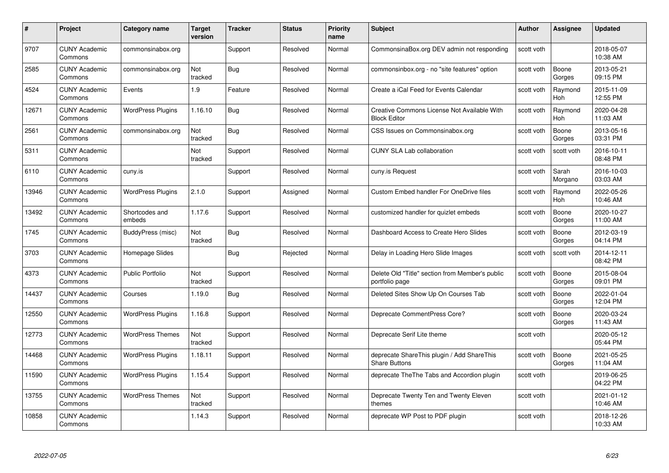| #     | Project                         | <b>Category name</b>     | Target<br>version | <b>Tracker</b> | <b>Status</b> | <b>Priority</b><br>name | <b>Subject</b>                                                     | <b>Author</b> | <b>Assignee</b>       | <b>Updated</b>         |
|-------|---------------------------------|--------------------------|-------------------|----------------|---------------|-------------------------|--------------------------------------------------------------------|---------------|-----------------------|------------------------|
| 9707  | <b>CUNY Academic</b><br>Commons | commonsinabox.org        |                   | Support        | Resolved      | Normal                  | CommonsinaBox.org DEV admin not responding                         | scott voth    |                       | 2018-05-07<br>10:38 AM |
| 2585  | <b>CUNY Academic</b><br>Commons | commonsinabox.org        | Not<br>tracked    | Bug            | Resolved      | Normal                  | commonsinbox.org - no "site features" option                       | scott voth    | Boone<br>Gorges       | 2013-05-21<br>09:15 PM |
| 4524  | <b>CUNY Academic</b><br>Commons | Events                   | 1.9               | Feature        | Resolved      | Normal                  | Create a iCal Feed for Events Calendar                             | scott voth    | Raymond<br>Hoh        | 2015-11-09<br>12:55 PM |
| 12671 | <b>CUNY Academic</b><br>Commons | <b>WordPress Plugins</b> | 1.16.10           | Bug            | Resolved      | Normal                  | Creative Commons License Not Available With<br><b>Block Editor</b> | scott voth    | Raymond<br>Hoh        | 2020-04-28<br>11:03 AM |
| 2561  | CUNY Academic<br>Commons        | commonsinabox.org        | Not<br>tracked    | Bug            | Resolved      | Normal                  | CSS Issues on Commonsinabox.org                                    | scott voth    | Boone<br>Gorges       | 2013-05-16<br>03:31 PM |
| 5311  | <b>CUNY Academic</b><br>Commons |                          | Not<br>tracked    | Support        | Resolved      | Normal                  | <b>CUNY SLA Lab collaboration</b>                                  | scott voth    | scott voth            | 2016-10-11<br>08:48 PM |
| 6110  | <b>CUNY Academic</b><br>Commons | cuny.is                  |                   | Support        | Resolved      | Normal                  | cuny.is Request                                                    | scott voth    | Sarah<br>Morgano      | 2016-10-03<br>03:03 AM |
| 13946 | <b>CUNY Academic</b><br>Commons | <b>WordPress Plugins</b> | 2.1.0             | Support        | Assigned      | Normal                  | <b>Custom Embed handler For OneDrive files</b>                     | scott voth    | Raymond<br><b>Hoh</b> | 2022-05-26<br>10:46 AM |
| 13492 | <b>CUNY Academic</b><br>Commons | Shortcodes and<br>embeds | 1.17.6            | Support        | Resolved      | Normal                  | customized handler for quizlet embeds                              | scott voth    | Boone<br>Gorges       | 2020-10-27<br>11:00 AM |
| 1745  | <b>CUNY Academic</b><br>Commons | BuddyPress (misc)        | Not<br>tracked    | <b>Bug</b>     | Resolved      | Normal                  | Dashboard Access to Create Hero Slides                             | scott voth    | Boone<br>Gorges       | 2012-03-19<br>04:14 PM |
| 3703  | <b>CUNY Academic</b><br>Commons | Homepage Slides          |                   | Bug            | Rejected      | Normal                  | Delay in Loading Hero Slide Images                                 | scott voth    | scott voth            | 2014-12-11<br>08:42 PM |
| 4373  | <b>CUNY Academic</b><br>Commons | <b>Public Portfolio</b>  | Not<br>tracked    | Support        | Resolved      | Normal                  | Delete Old "Title" section from Member's public<br>portfolio page  | scott voth    | Boone<br>Gorges       | 2015-08-04<br>09:01 PM |
| 14437 | <b>CUNY Academic</b><br>Commons | Courses                  | 1.19.0            | Bug            | Resolved      | Normal                  | Deleted Sites Show Up On Courses Tab                               | scott voth    | Boone<br>Gorges       | 2022-01-04<br>12:04 PM |
| 12550 | <b>CUNY Academic</b><br>Commons | <b>WordPress Plugins</b> | 1.16.8            | Support        | Resolved      | Normal                  | Deprecate CommentPress Core?                                       | scott voth    | Boone<br>Gorges       | 2020-03-24<br>11:43 AM |
| 12773 | <b>CUNY Academic</b><br>Commons | <b>WordPress Themes</b>  | Not<br>tracked    | Support        | Resolved      | Normal                  | Deprecate Serif Lite theme                                         | scott voth    |                       | 2020-05-12<br>05:44 PM |
| 14468 | <b>CUNY Academic</b><br>Commons | <b>WordPress Plugins</b> | 1.18.11           | Support        | Resolved      | Normal                  | deprecate ShareThis plugin / Add ShareThis<br><b>Share Buttons</b> | scott voth    | Boone<br>Gorges       | 2021-05-25<br>11:04 AM |
| 11590 | <b>CUNY Academic</b><br>Commons | <b>WordPress Plugins</b> | 1.15.4            | Support        | Resolved      | Normal                  | deprecate TheThe Tabs and Accordion plugin                         | scott voth    |                       | 2019-06-25<br>04:22 PM |
| 13755 | <b>CUNY Academic</b><br>Commons | <b>WordPress Themes</b>  | Not<br>tracked    | Support        | Resolved      | Normal                  | Deprecate Twenty Ten and Twenty Eleven<br>themes                   | scott voth    |                       | 2021-01-12<br>10:46 AM |
| 10858 | <b>CUNY Academic</b><br>Commons |                          | 1.14.3            | Support        | Resolved      | Normal                  | deprecate WP Post to PDF plugin                                    | scott voth    |                       | 2018-12-26<br>10:33 AM |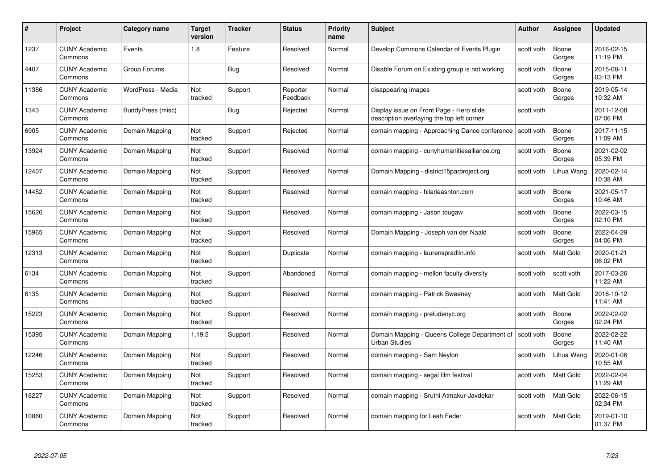| #     | Project                         | <b>Category name</b> | Target<br>version | <b>Tracker</b> | <b>Status</b>        | <b>Priority</b><br>name | <b>Subject</b>                                                                         | <b>Author</b> | <b>Assignee</b>  | <b>Updated</b>         |
|-------|---------------------------------|----------------------|-------------------|----------------|----------------------|-------------------------|----------------------------------------------------------------------------------------|---------------|------------------|------------------------|
| 1237  | <b>CUNY Academic</b><br>Commons | Events               | 1.8               | Feature        | Resolved             | Normal                  | Develop Commons Calendar of Events Plugin                                              | scott voth    | Boone<br>Gorges  | 2016-02-15<br>11:19 PM |
| 4407  | <b>CUNY Academic</b><br>Commons | Group Forums         |                   | Bug            | Resolved             | Normal                  | Disable Forum on Existing group is not working                                         | scott voth    | Boone<br>Gorges  | 2015-08-11<br>03:13 PM |
| 11386 | <b>CUNY Academic</b><br>Commons | WordPress - Media    | Not<br>tracked    | Support        | Reporter<br>Feedback | Normal                  | disappearing images                                                                    | scott voth    | Boone<br>Gorges  | 2019-05-14<br>10:32 AM |
| 1343  | <b>CUNY Academic</b><br>Commons | BuddyPress (misc)    |                   | Bug            | Rejected             | Normal                  | Display issue on Front Page - Hero slide<br>description overlaying the top left corner | scott voth    |                  | 2011-12-08<br>07:06 PM |
| 6905  | CUNY Academic<br>Commons        | Domain Mapping       | Not<br>tracked    | Support        | Rejected             | Normal                  | domain mapping - Approaching Dance conference                                          | scott voth    | Boone<br>Gorges  | 2017-11-15<br>11:09 AM |
| 13924 | <b>CUNY Academic</b><br>Commons | Domain Mapping       | Not<br>tracked    | Support        | Resolved             | Normal                  | domain mapping - cunyhumanitiesalliance.org                                            | scott voth    | Boone<br>Gorges  | 2021-02-02<br>05:39 PM |
| 12407 | <b>CUNY Academic</b><br>Commons | Domain Mapping       | Not<br>tracked    | Support        | Resolved             | Normal                  | Domain Mapping - district15parproject.org                                              | scott voth    | Lihua Wang       | 2020-02-14<br>10:38 AM |
| 14452 | <b>CUNY Academic</b><br>Commons | Domain Mapping       | Not<br>tracked    | Support        | Resolved             | Normal                  | domain mapping - hilarieashton.com                                                     | scott voth    | Boone<br>Gorges  | 2021-05-17<br>10:46 AM |
| 15626 | <b>CUNY Academic</b><br>Commons | Domain Mapping       | Not<br>tracked    | Support        | Resolved             | Normal                  | domain mapping - Jason tougaw                                                          | scott voth    | Boone<br>Gorges  | 2022-03-15<br>02:10 PM |
| 15965 | <b>CUNY Academic</b><br>Commons | Domain Mapping       | Not<br>tracked    | Support        | Resolved             | Normal                  | Domain Mapping - Joseph van der Naald                                                  | scott voth    | Boone<br>Gorges  | 2022-04-29<br>04:06 PM |
| 12313 | CUNY Academic<br>Commons        | Domain Mapping       | Not<br>tracked    | Support        | Duplicate            | Normal                  | domain mapping - laurenspradlin.info                                                   | scott voth    | Matt Gold        | 2020-01-21<br>06:02 PM |
| 6134  | <b>CUNY Academic</b><br>Commons | Domain Mapping       | Not<br>tracked    | Support        | Abandoned            | Normal                  | domain mapping - mellon faculty diversity                                              | scott voth    | scott voth       | 2017-03-26<br>11:22 AM |
| 6135  | <b>CUNY Academic</b><br>Commons | Domain Mapping       | Not<br>tracked    | Support        | Resolved             | Normal                  | domain mapping - Patrick Sweeney                                                       | scott voth    | <b>Matt Gold</b> | 2016-10-12<br>11:41 AM |
| 15223 | <b>CUNY Academic</b><br>Commons | Domain Mapping       | Not<br>tracked    | Support        | Resolved             | Normal                  | domain mapping - preludenyc.org                                                        | scott voth    | Boone<br>Gorges  | 2022-02-02<br>02:24 PM |
| 15395 | <b>CUNY Academic</b><br>Commons | Domain Mapping       | 1.19.5            | Support        | Resolved             | Normal                  | Domain Mapping - Queens College Department of<br><b>Urban Studies</b>                  | scott voth    | Boone<br>Gorges  | 2022-02-22<br>11:40 AM |
| 12246 | <b>CUNY Academic</b><br>Commons | Domain Mapping       | Not<br>tracked    | Support        | Resolved             | Normal                  | domain mapping - Sam Neylon                                                            | scott voth    | Lihua Wang       | 2020-01-06<br>10:55 AM |
| 15253 | <b>CUNY Academic</b><br>Commons | Domain Mapping       | Not<br>tracked    | Support        | Resolved             | Normal                  | domain mapping - segal film festival                                                   | scott voth    | <b>Matt Gold</b> | 2022-02-04<br>11:29 AM |
| 16227 | <b>CUNY Academic</b><br>Commons | Domain Mapping       | Not<br>tracked    | Support        | Resolved             | Normal                  | domain mapping - Sruthi Atmakur-Javdekar                                               | scott voth    | Matt Gold        | 2022-06-15<br>02:34 PM |
| 10860 | CUNY Academic<br>Commons        | Domain Mapping       | Not<br>tracked    | Support        | Resolved             | Normal                  | domain mapping for Leah Feder                                                          | scott voth    | <b>Matt Gold</b> | 2019-01-10<br>01:37 PM |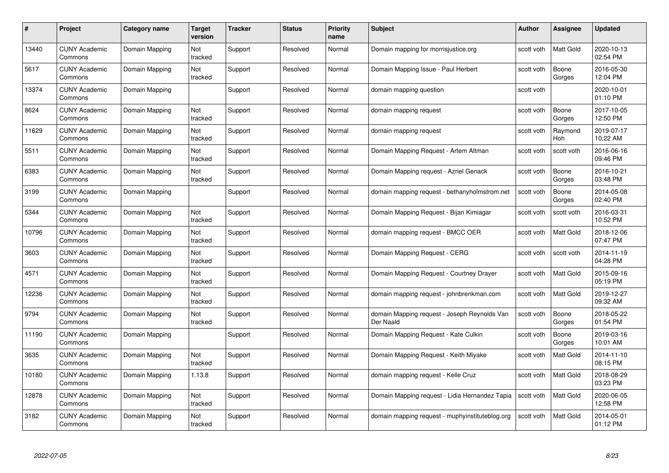| #     | Project                         | Category name  | Target<br>version | <b>Tracker</b> | <b>Status</b> | <b>Priority</b><br>name | <b>Subject</b>                                            | <b>Author</b> | <b>Assignee</b>       | <b>Updated</b>         |
|-------|---------------------------------|----------------|-------------------|----------------|---------------|-------------------------|-----------------------------------------------------------|---------------|-----------------------|------------------------|
| 13440 | <b>CUNY Academic</b><br>Commons | Domain Mapping | Not<br>tracked    | Support        | Resolved      | Normal                  | Domain mapping for morrisjustice.org                      | scott voth    | <b>Matt Gold</b>      | 2020-10-13<br>02:54 PM |
| 5617  | <b>CUNY Academic</b><br>Commons | Domain Mapping | Not<br>tracked    | Support        | Resolved      | Normal                  | Domain Mapping Issue - Paul Herbert                       | scott voth    | Boone<br>Gorges       | 2016-05-30<br>12:04 PM |
| 13374 | <b>CUNY Academic</b><br>Commons | Domain Mapping |                   | Support        | Resolved      | Normal                  | domain mapping question                                   | scott voth    |                       | 2020-10-01<br>01:10 PM |
| 8624  | <b>CUNY Academic</b><br>Commons | Domain Mapping | Not<br>tracked    | Support        | Resolved      | Normal                  | domain mapping request                                    | scott voth    | Boone<br>Gorges       | 2017-10-05<br>12:50 PM |
| 11629 | <b>CUNY Academic</b><br>Commons | Domain Mapping | Not<br>tracked    | Support        | Resolved      | Normal                  | domain mapping request                                    | scott voth    | Raymond<br><b>Hoh</b> | 2019-07-17<br>10:22 AM |
| 5511  | <b>CUNY Academic</b><br>Commons | Domain Mapping | Not<br>tracked    | Support        | Resolved      | Normal                  | Domain Mapping Request - Artem Altman                     | scott voth    | scott voth            | 2016-06-16<br>09:46 PM |
| 6383  | <b>CUNY Academic</b><br>Commons | Domain Mapping | Not<br>tracked    | Support        | Resolved      | Normal                  | Domain Mapping request - Azriel Genack                    | scott voth    | Boone<br>Gorges       | 2016-10-21<br>03:48 PM |
| 3199  | <b>CUNY Academic</b><br>Commons | Domain Mapping |                   | Support        | Resolved      | Normal                  | domain mapping request - bethanyholmstrom.net             | scott voth    | Boone<br>Gorges       | 2014-05-08<br>02:40 PM |
| 5344  | <b>CUNY Academic</b><br>Commons | Domain Mapping | Not<br>tracked    | Support        | Resolved      | Normal                  | Domain Mapping Request - Bijan Kimiagar                   | scott voth    | scott voth            | 2016-03-31<br>10:52 PM |
| 10796 | <b>CUNY Academic</b><br>Commons | Domain Mapping | Not<br>tracked    | Support        | Resolved      | Normal                  | domain mapping request - BMCC OER                         | scott voth    | Matt Gold             | 2018-12-06<br>07:47 PM |
| 3603  | <b>CUNY Academic</b><br>Commons | Domain Mapping | Not<br>tracked    | Support        | Resolved      | Normal                  | Domain Mapping Request - CERG                             | scott voth    | scott voth            | 2014-11-19<br>04:28 PM |
| 4571  | <b>CUNY Academic</b><br>Commons | Domain Mapping | Not<br>tracked    | Support        | Resolved      | Normal                  | Domain Mapping Request - Courtney Drayer                  | scott voth    | Matt Gold             | 2015-09-16<br>05:19 PM |
| 12236 | <b>CUNY Academic</b><br>Commons | Domain Mapping | Not<br>tracked    | Support        | Resolved      | Normal                  | domain mapping request - johnbrenkman.com                 | scott voth    | <b>Matt Gold</b>      | 2019-12-27<br>09:32 AM |
| 9794  | <b>CUNY Academic</b><br>Commons | Domain Mapping | Not<br>tracked    | Support        | Resolved      | Normal                  | domain Mapping request - Joseph Reynolds Van<br>Der Naald | scott voth    | Boone<br>Gorges       | 2018-05-22<br>01:54 PM |
| 11190 | <b>CUNY Academic</b><br>Commons | Domain Mapping |                   | Support        | Resolved      | Normal                  | Domain Mapping Request - Kate Culkin                      | scott voth    | Boone<br>Gorges       | 2019-03-16<br>10:01 AM |
| 3635  | <b>CUNY Academic</b><br>Commons | Domain Mapping | Not<br>tracked    | Support        | Resolved      | Normal                  | Domain Mapping Request - Keith Miyake                     | scott voth    | <b>Matt Gold</b>      | 2014-11-10<br>08:15 PM |
| 10180 | <b>CUNY Academic</b><br>Commons | Domain Mapping | 1.13.8            | Support        | Resolved      | Normal                  | domain mapping request - Kelle Cruz                       | scott voth    | <b>Matt Gold</b>      | 2018-08-29<br>03:23 PM |
| 12878 | <b>CUNY Academic</b><br>Commons | Domain Mapping | Not<br>tracked    | Support        | Resolved      | Normal                  | Domain Mapping request - Lidia Hernandez Tapia            | scott voth    | Matt Gold             | 2020-06-05<br>12:58 PM |
| 3182  | CUNY Academic<br>Commons        | Domain Mapping | Not<br>tracked    | Support        | Resolved      | Normal                  | domain mapping request - muphyinstituteblog.org           | scott voth    | <b>Matt Gold</b>      | 2014-05-01<br>01:12 PM |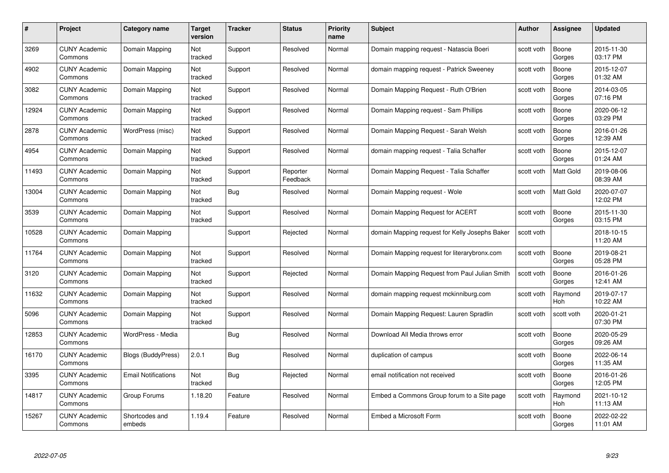| #     | Project                         | <b>Category name</b>       | Target<br>version | <b>Tracker</b> | <b>Status</b>        | <b>Priority</b><br>name | <b>Subject</b>                                 | <b>Author</b> | <b>Assignee</b>  | <b>Updated</b>         |
|-------|---------------------------------|----------------------------|-------------------|----------------|----------------------|-------------------------|------------------------------------------------|---------------|------------------|------------------------|
| 3269  | <b>CUNY Academic</b><br>Commons | Domain Mapping             | Not<br>tracked    | Support        | Resolved             | Normal                  | Domain mapping request - Natascia Boeri        | scott voth    | Boone<br>Gorges  | 2015-11-30<br>03:17 PM |
| 4902  | <b>CUNY Academic</b><br>Commons | Domain Mapping             | Not<br>tracked    | Support        | Resolved             | Normal                  | domain mapping request - Patrick Sweeney       | scott voth    | Boone<br>Gorges  | 2015-12-07<br>01:32 AM |
| 3082  | <b>CUNY Academic</b><br>Commons | Domain Mapping             | Not<br>tracked    | Support        | Resolved             | Normal                  | Domain Mapping Request - Ruth O'Brien          | scott voth    | Boone<br>Gorges  | 2014-03-05<br>07:16 PM |
| 12924 | <b>CUNY Academic</b><br>Commons | Domain Mapping             | Not<br>tracked    | Support        | Resolved             | Normal                  | Domain Mapping request - Sam Phillips          | scott voth    | Boone<br>Gorges  | 2020-06-12<br>03:29 PM |
| 2878  | CUNY Academic<br>Commons        | WordPress (misc)           | Not<br>tracked    | Support        | Resolved             | Normal                  | Domain Mapping Request - Sarah Welsh           | scott voth    | Boone<br>Gorges  | 2016-01-26<br>12:39 AM |
| 4954  | <b>CUNY Academic</b><br>Commons | Domain Mapping             | Not<br>tracked    | Support        | Resolved             | Normal                  | domain mapping request - Talia Schaffer        | scott voth    | Boone<br>Gorges  | 2015-12-07<br>01:24 AM |
| 11493 | <b>CUNY Academic</b><br>Commons | Domain Mapping             | Not<br>tracked    | Support        | Reporter<br>Feedback | Normal                  | Domain Mapping Request - Talia Schaffer        | scott voth    | Matt Gold        | 2019-08-06<br>08:39 AM |
| 13004 | <b>CUNY Academic</b><br>Commons | Domain Mapping             | Not<br>tracked    | <b>Bug</b>     | Resolved             | Normal                  | Domain Mapping request - Wole                  | scott voth    | <b>Matt Gold</b> | 2020-07-07<br>12:02 PM |
| 3539  | <b>CUNY Academic</b><br>Commons | Domain Mapping             | Not<br>tracked    | Support        | Resolved             | Normal                  | Domain Mapping Request for ACERT               | scott voth    | Boone<br>Gorges  | 2015-11-30<br>03:15 PM |
| 10528 | <b>CUNY Academic</b><br>Commons | Domain Mapping             |                   | Support        | Rejected             | Normal                  | domain Mapping request for Kelly Josephs Baker | scott voth    |                  | 2018-10-15<br>11:20 AM |
| 11764 | CUNY Academic<br>Commons        | Domain Mapping             | Not<br>tracked    | Support        | Resolved             | Normal                  | Domain Mapping request for literarybronx.com   | scott voth    | Boone<br>Gorges  | 2019-08-21<br>05:28 PM |
| 3120  | <b>CUNY Academic</b><br>Commons | Domain Mapping             | Not<br>tracked    | Support        | Rejected             | Normal                  | Domain Mapping Request from Paul Julian Smith  | scott voth    | Boone<br>Gorges  | 2016-01-26<br>12:41 AM |
| 11632 | <b>CUNY Academic</b><br>Commons | Domain Mapping             | Not<br>tracked    | Support        | Resolved             | Normal                  | domain mapping request mckinniburg.com         | scott voth    | Raymond<br>Hoh   | 2019-07-17<br>10:22 AM |
| 5096  | <b>CUNY Academic</b><br>Commons | Domain Mapping             | Not<br>tracked    | Support        | Resolved             | Normal                  | Domain Mapping Request: Lauren Spradlin        | scott voth    | scott voth       | 2020-01-21<br>07:30 PM |
| 12853 | <b>CUNY Academic</b><br>Commons | WordPress - Media          |                   | Bug            | Resolved             | Normal                  | Download All Media throws error                | scott voth    | Boone<br>Gorges  | 2020-05-29<br>09:26 AM |
| 16170 | <b>CUNY Academic</b><br>Commons | Blogs (BuddyPress)         | 2.0.1             | Bug            | Resolved             | Normal                  | duplication of campus                          | scott voth    | Boone<br>Gorges  | 2022-06-14<br>11:35 AM |
| 3395  | <b>CUNY Academic</b><br>Commons | <b>Email Notifications</b> | Not<br>tracked    | <b>Bug</b>     | Rejected             | Normal                  | email notification not received                | scott voth    | Boone<br>Gorges  | 2016-01-26<br>12:05 PM |
| 14817 | <b>CUNY Academic</b><br>Commons | Group Forums               | 1.18.20           | Feature        | Resolved             | Normal                  | Embed a Commons Group forum to a Site page     | scott voth    | Raymond<br>Hoh   | 2021-10-12<br>11:13 AM |
| 15267 | CUNY Academic<br>Commons        | Shortcodes and<br>embeds   | 1.19.4            | Feature        | Resolved             | Normal                  | Embed a Microsoft Form                         | scott voth    | Boone<br>Gorges  | 2022-02-22<br>11:01 AM |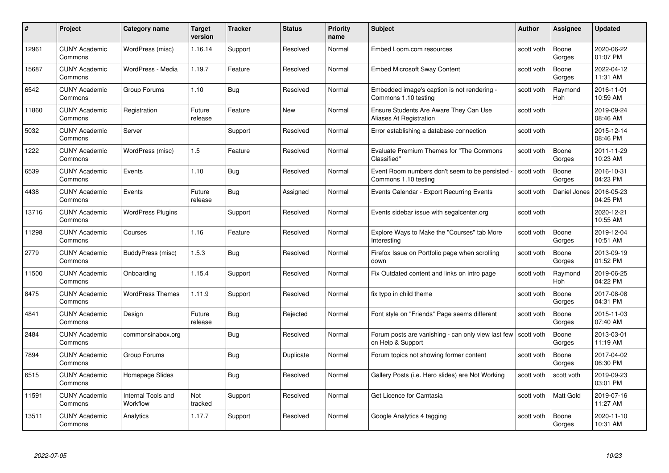| #     | Project                         | Category name                  | Target<br>version | <b>Tracker</b> | <b>Status</b> | <b>Priority</b><br>name | <b>Subject</b>                                                          | Author     | Assignee              | <b>Updated</b>         |
|-------|---------------------------------|--------------------------------|-------------------|----------------|---------------|-------------------------|-------------------------------------------------------------------------|------------|-----------------------|------------------------|
| 12961 | <b>CUNY Academic</b><br>Commons | WordPress (misc)               | 1.16.14           | Support        | Resolved      | Normal                  | Embed Loom.com resources                                                | scott voth | Boone<br>Gorges       | 2020-06-22<br>01:07 PM |
| 15687 | <b>CUNY Academic</b><br>Commons | WordPress - Media              | 1.19.7            | Feature        | Resolved      | Normal                  | <b>Embed Microsoft Sway Content</b>                                     | scott voth | Boone<br>Gorges       | 2022-04-12<br>11:31 AM |
| 6542  | <b>CUNY Academic</b><br>Commons | Group Forums                   | 1.10              | Bug            | Resolved      | Normal                  | Embedded image's caption is not rendering -<br>Commons 1.10 testing     | scott voth | Raymond<br>Hoh        | 2016-11-01<br>10:59 AM |
| 11860 | <b>CUNY Academic</b><br>Commons | Registration                   | Future<br>release | Feature        | New           | Normal                  | Ensure Students Are Aware They Can Use<br>Aliases At Registration       | scott voth |                       | 2019-09-24<br>08:46 AM |
| 5032  | <b>CUNY Academic</b><br>Commons | Server                         |                   | Support        | Resolved      | Normal                  | Error establishing a database connection                                | scott voth |                       | 2015-12-14<br>08:46 PM |
| 1222  | <b>CUNY Academic</b><br>Commons | WordPress (misc)               | 1.5               | Feature        | Resolved      | Normal                  | Evaluate Premium Themes for "The Commons<br>Classified"                 | scott voth | Boone<br>Gorges       | 2011-11-29<br>10:23 AM |
| 6539  | <b>CUNY Academic</b><br>Commons | Events                         | 1.10              | Bug            | Resolved      | Normal                  | Event Room numbers don't seem to be persisted<br>Commons 1.10 testing   | scott voth | Boone<br>Gorges       | 2016-10-31<br>04:23 PM |
| 4438  | <b>CUNY Academic</b><br>Commons | Events                         | Future<br>release | <b>Bug</b>     | Assigned      | Normal                  | Events Calendar - Export Recurring Events                               | scott voth | Daniel Jones          | 2016-05-23<br>04:25 PM |
| 13716 | <b>CUNY Academic</b><br>Commons | <b>WordPress Plugins</b>       |                   | Support        | Resolved      | Normal                  | Events sidebar issue with segalcenter.org                               | scott voth |                       | 2020-12-21<br>10:55 AM |
| 11298 | <b>CUNY Academic</b><br>Commons | Courses                        | 1.16              | Feature        | Resolved      | Normal                  | Explore Ways to Make the "Courses" tab More<br>Interesting              | scott voth | Boone<br>Gorges       | 2019-12-04<br>10:51 AM |
| 2779  | <b>CUNY Academic</b><br>Commons | BuddyPress (misc)              | 1.5.3             | Bug            | Resolved      | Normal                  | Firefox Issue on Portfolio page when scrolling<br>down                  | scott voth | Boone<br>Gorges       | 2013-09-19<br>01:52 PM |
| 11500 | <b>CUNY Academic</b><br>Commons | Onboarding                     | 1.15.4            | Support        | Resolved      | Normal                  | Fix Outdated content and links on intro page                            | scott voth | Raymond<br><b>Hoh</b> | 2019-06-25<br>04:22 PM |
| 8475  | <b>CUNY Academic</b><br>Commons | <b>WordPress Themes</b>        | 1.11.9            | Support        | Resolved      | Normal                  | fix typo in child theme                                                 | scott voth | Boone<br>Gorges       | 2017-08-08<br>04:31 PM |
| 4841  | <b>CUNY Academic</b><br>Commons | Design                         | Future<br>release | Bug            | Rejected      | Normal                  | Font style on "Friends" Page seems different                            | scott voth | Boone<br>Gorges       | 2015-11-03<br>07:40 AM |
| 2484  | <b>CUNY Academic</b><br>Commons | commonsinabox.org              |                   | Bug            | Resolved      | Normal                  | Forum posts are vanishing - can only view last few<br>on Help & Support | scott voth | Boone<br>Gorges       | 2013-03-01<br>11:19 AM |
| 7894  | <b>CUNY Academic</b><br>Commons | Group Forums                   |                   | <b>Bug</b>     | Duplicate     | Normal                  | Forum topics not showing former content                                 | scott voth | Boone<br>Gorges       | 2017-04-02<br>06:30 PM |
| 6515  | <b>CUNY Academic</b><br>Commons | Homepage Slides                |                   | <b>Bug</b>     | Resolved      | Normal                  | Gallery Posts (i.e. Hero slides) are Not Working                        | scott voth | scott voth            | 2019-09-23<br>03:01 PM |
| 11591 | <b>CUNY Academic</b><br>Commons | Internal Tools and<br>Workflow | Not<br>tracked    | Support        | Resolved      | Normal                  | Get Licence for Camtasia                                                | scott voth | Matt Gold             | 2019-07-16<br>11:27 AM |
| 13511 | <b>CUNY Academic</b><br>Commons | Analytics                      | 1.17.7            | Support        | Resolved      | Normal                  | Google Analytics 4 tagging                                              | scott voth | Boone<br>Gorges       | 2020-11-10<br>10:31 AM |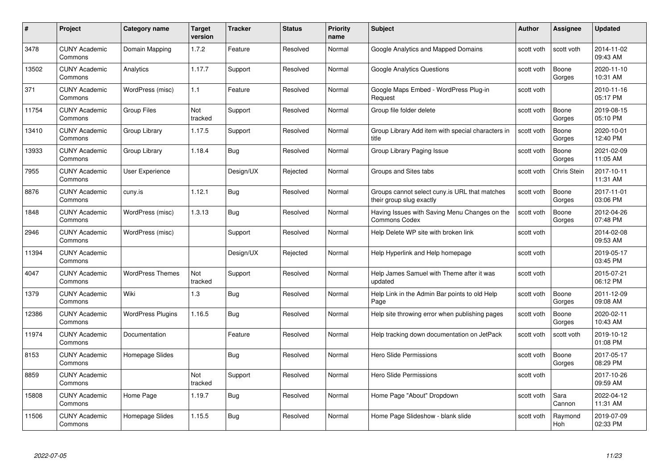| #     | Project                         | <b>Category name</b>     | Target<br>version | <b>Tracker</b> | <b>Status</b> | <b>Priority</b><br>name | <b>Subject</b>                                                            | <b>Author</b> | <b>Assignee</b> | <b>Updated</b>         |
|-------|---------------------------------|--------------------------|-------------------|----------------|---------------|-------------------------|---------------------------------------------------------------------------|---------------|-----------------|------------------------|
| 3478  | <b>CUNY Academic</b><br>Commons | Domain Mapping           | 1.7.2             | Feature        | Resolved      | Normal                  | Google Analytics and Mapped Domains                                       | scott voth    | scott voth      | 2014-11-02<br>09:43 AM |
| 13502 | <b>CUNY Academic</b><br>Commons | Analytics                | 1.17.7            | Support        | Resolved      | Normal                  | <b>Google Analytics Questions</b>                                         | scott voth    | Boone<br>Gorges | 2020-11-10<br>10:31 AM |
| 371   | <b>CUNY Academic</b><br>Commons | WordPress (misc)         | 1.1               | Feature        | Resolved      | Normal                  | Google Maps Embed - WordPress Plug-in<br>Request                          | scott voth    |                 | 2010-11-16<br>05:17 PM |
| 11754 | <b>CUNY Academic</b><br>Commons | <b>Group Files</b>       | Not<br>tracked    | Support        | Resolved      | Normal                  | Group file folder delete                                                  | scott voth    | Boone<br>Gorges | 2019-08-15<br>05:10 PM |
| 13410 | <b>CUNY Academic</b><br>Commons | Group Library            | 1.17.5            | Support        | Resolved      | Normal                  | Group Library Add item with special characters in<br>title                | scott voth    | Boone<br>Gorges | 2020-10-01<br>12:40 PM |
| 13933 | <b>CUNY Academic</b><br>Commons | Group Library            | 1.18.4            | Bug            | Resolved      | Normal                  | Group Library Paging Issue                                                | scott voth    | Boone<br>Gorges | 2021-02-09<br>11:05 AM |
| 7955  | <b>CUNY Academic</b><br>Commons | <b>User Experience</b>   |                   | Design/UX      | Rejected      | Normal                  | Groups and Sites tabs                                                     | scott voth    | Chris Stein     | 2017-10-11<br>11:31 AM |
| 8876  | <b>CUNY Academic</b><br>Commons | cuny.is                  | 1.12.1            | <b>Bug</b>     | Resolved      | Normal                  | Groups cannot select cuny is URL that matches<br>their group slug exactly | scott voth    | Boone<br>Gorges | 2017-11-01<br>03:06 PM |
| 1848  | <b>CUNY Academic</b><br>Commons | WordPress (misc)         | 1.3.13            | Bug            | Resolved      | Normal                  | Having Issues with Saving Menu Changes on the<br><b>Commons Codex</b>     | scott voth    | Boone<br>Gorges | 2012-04-26<br>07:48 PM |
| 2946  | <b>CUNY Academic</b><br>Commons | WordPress (misc)         |                   | Support        | Resolved      | Normal                  | Help Delete WP site with broken link                                      | scott voth    |                 | 2014-02-08<br>09:53 AM |
| 11394 | CUNY Academic<br>Commons        |                          |                   | Design/UX      | Rejected      | Normal                  | Help Hyperlink and Help homepage                                          | scott voth    |                 | 2019-05-17<br>03:45 PM |
| 4047  | <b>CUNY Academic</b><br>Commons | <b>WordPress Themes</b>  | Not<br>tracked    | Support        | Resolved      | Normal                  | Help James Samuel with Theme after it was<br>updated                      | scott voth    |                 | 2015-07-21<br>06:12 PM |
| 1379  | <b>CUNY Academic</b><br>Commons | Wiki                     | $1.3$             | <b>Bug</b>     | Resolved      | Normal                  | Help Link in the Admin Bar points to old Help<br>Page                     | scott voth    | Boone<br>Gorges | 2011-12-09<br>09:08 AM |
| 12386 | <b>CUNY Academic</b><br>Commons | <b>WordPress Plugins</b> | 1.16.5            | <b>Bug</b>     | Resolved      | Normal                  | Help site throwing error when publishing pages                            | scott voth    | Boone<br>Gorges | 2020-02-11<br>10:43 AM |
| 11974 | <b>CUNY Academic</b><br>Commons | Documentation            |                   | Feature        | Resolved      | Normal                  | Help tracking down documentation on JetPack                               | scott voth    | scott voth      | 2019-10-12<br>01:08 PM |
| 8153  | <b>CUNY Academic</b><br>Commons | Homepage Slides          |                   | Bug            | Resolved      | Normal                  | <b>Hero Slide Permissions</b>                                             | scott voth    | Boone<br>Gorges | 2017-05-17<br>08:29 PM |
| 8859  | <b>CUNY Academic</b><br>Commons |                          | Not<br>tracked    | Support        | Resolved      | Normal                  | <b>Hero Slide Permissions</b>                                             | scott voth    |                 | 2017-10-26<br>09:59 AM |
| 15808 | <b>CUNY Academic</b><br>Commons | Home Page                | 1.19.7            | <b>Bug</b>     | Resolved      | Normal                  | Home Page "About" Dropdown                                                | scott voth    | Sara<br>Cannon  | 2022-04-12<br>11:31 AM |
| 11506 | CUNY Academic<br>Commons        | Homepage Slides          | 1.15.5            | Bug            | Resolved      | Normal                  | Home Page Slideshow - blank slide                                         | scott voth    | Raymond<br>Hoh  | 2019-07-09<br>02:33 PM |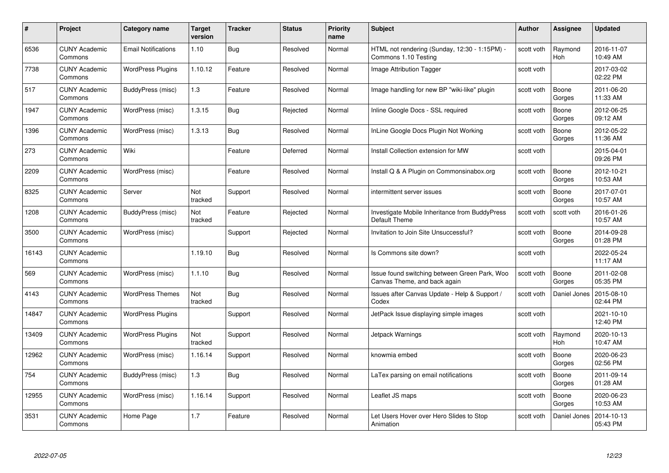| #     | Project                         | <b>Category name</b>       | Target<br>version | <b>Tracker</b> | <b>Status</b> | <b>Priority</b><br>name | <b>Subject</b>                                                                | <b>Author</b> | <b>Assignee</b>       | <b>Updated</b>         |
|-------|---------------------------------|----------------------------|-------------------|----------------|---------------|-------------------------|-------------------------------------------------------------------------------|---------------|-----------------------|------------------------|
| 6536  | <b>CUNY Academic</b><br>Commons | <b>Email Notifications</b> | 1.10              | Bug            | Resolved      | Normal                  | HTML not rendering (Sunday, 12:30 - 1:15PM) -<br>Commons 1.10 Testing         | scott voth    | Raymond<br><b>Hoh</b> | 2016-11-07<br>10:49 AM |
| 7738  | <b>CUNY Academic</b><br>Commons | <b>WordPress Plugins</b>   | 1.10.12           | Feature        | Resolved      | Normal                  | Image Attribution Tagger                                                      | scott voth    |                       | 2017-03-02<br>02:22 PM |
| 517   | <b>CUNY Academic</b><br>Commons | BuddyPress (misc)          | 1.3               | Feature        | Resolved      | Normal                  | Image handling for new BP "wiki-like" plugin                                  | scott voth    | Boone<br>Gorges       | 2011-06-20<br>11:33 AM |
| 1947  | <b>CUNY Academic</b><br>Commons | WordPress (misc)           | 1.3.15            | <b>Bug</b>     | Rejected      | Normal                  | Inline Google Docs - SSL required                                             | scott voth    | Boone<br>Gorges       | 2012-06-25<br>09:12 AM |
| 1396  | CUNY Academic<br>Commons        | WordPress (misc)           | 1.3.13            | <b>Bug</b>     | Resolved      | Normal                  | InLine Google Docs Plugin Not Working                                         | scott voth    | Boone<br>Gorges       | 2012-05-22<br>11:36 AM |
| 273   | <b>CUNY Academic</b><br>Commons | Wiki                       |                   | Feature        | Deferred      | Normal                  | Install Collection extension for MW                                           | scott voth    |                       | 2015-04-01<br>09:26 PM |
| 2209  | <b>CUNY Academic</b><br>Commons | WordPress (misc)           |                   | Feature        | Resolved      | Normal                  | Install Q & A Plugin on Commonsinabox.org                                     | scott voth    | Boone<br>Gorges       | 2012-10-21<br>10:53 AM |
| 8325  | <b>CUNY Academic</b><br>Commons | Server                     | Not<br>tracked    | Support        | Resolved      | Normal                  | intermittent server issues                                                    | scott voth    | Boone<br>Gorges       | 2017-07-01<br>10:57 AM |
| 1208  | <b>CUNY Academic</b><br>Commons | BuddyPress (misc)          | Not<br>tracked    | Feature        | Rejected      | Normal                  | Investigate Mobile Inheritance from BuddyPress<br>Default Theme               | scott voth    | scott voth            | 2016-01-26<br>10:57 AM |
| 3500  | <b>CUNY Academic</b><br>Commons | WordPress (misc)           |                   | Support        | Rejected      | Normal                  | Invitation to Join Site Unsuccessful?                                         | scott voth    | Boone<br>Gorges       | 2014-09-28<br>01:28 PM |
| 16143 | CUNY Academic<br>Commons        |                            | 1.19.10           | Bug            | Resolved      | Normal                  | Is Commons site down?                                                         | scott voth    |                       | 2022-05-24<br>11:17 AM |
| 569   | <b>CUNY Academic</b><br>Commons | WordPress (misc)           | 1.1.10            | <b>Bug</b>     | Resolved      | Normal                  | Issue found switching between Green Park, Woo<br>Canvas Theme, and back again | scott voth    | Boone<br>Gorges       | 2011-02-08<br>05:35 PM |
| 4143  | <b>CUNY Academic</b><br>Commons | <b>WordPress Themes</b>    | Not<br>tracked    | Bug            | Resolved      | Normal                  | Issues after Canvas Update - Help & Support /<br>Codex                        | scott voth    | Daniel Jones          | 2015-08-10<br>02:44 PM |
| 14847 | <b>CUNY Academic</b><br>Commons | <b>WordPress Plugins</b>   |                   | Support        | Resolved      | Normal                  | JetPack Issue displaying simple images                                        | scott voth    |                       | 2021-10-10<br>12:40 PM |
| 13409 | <b>CUNY Academic</b><br>Commons | <b>WordPress Plugins</b>   | Not<br>tracked    | Support        | Resolved      | Normal                  | Jetpack Warnings                                                              | scott voth    | Raymond<br>Hoh        | 2020-10-13<br>10:47 AM |
| 12962 | <b>CUNY Academic</b><br>Commons | WordPress (misc)           | 1.16.14           | Support        | Resolved      | Normal                  | knowmia embed                                                                 | scott voth    | Boone<br>Gorges       | 2020-06-23<br>02:56 PM |
| 754   | <b>CUNY Academic</b><br>Commons | BuddyPress (misc)          | 1.3               | <b>Bug</b>     | Resolved      | Normal                  | LaTex parsing on email notifications                                          | scott voth    | Boone<br>Gorges       | 2011-09-14<br>01:28 AM |
| 12955 | <b>CUNY Academic</b><br>Commons | WordPress (misc)           | 1.16.14           | Support        | Resolved      | Normal                  | Leaflet JS maps                                                               | scott voth    | Boone<br>Gorges       | 2020-06-23<br>10:53 AM |
| 3531  | CUNY Academic<br>Commons        | Home Page                  | 1.7               | Feature        | Resolved      | Normal                  | Let Users Hover over Hero Slides to Stop<br>Animation                         | scott voth    | Daniel Jones          | 2014-10-13<br>05:43 PM |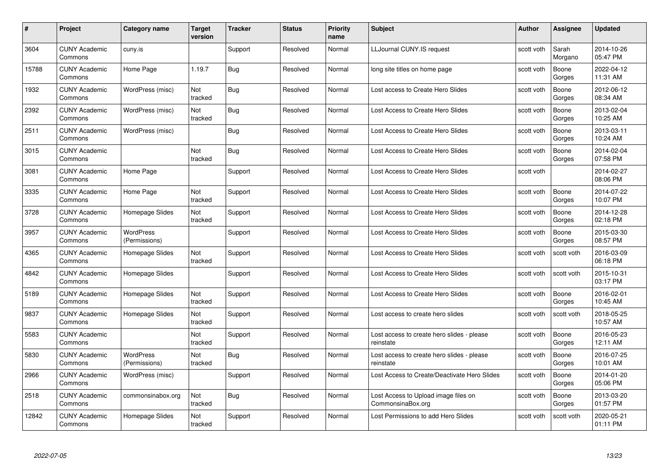| #     | Project                         | <b>Category name</b>              | Target<br>version     | <b>Tracker</b> | <b>Status</b> | <b>Priority</b><br>name | <b>Subject</b>                                            | <b>Author</b> | <b>Assignee</b>  | <b>Updated</b>         |
|-------|---------------------------------|-----------------------------------|-----------------------|----------------|---------------|-------------------------|-----------------------------------------------------------|---------------|------------------|------------------------|
| 3604  | <b>CUNY Academic</b><br>Commons | cuny.is                           |                       | Support        | Resolved      | Normal                  | <b>LLJournal CUNY.IS request</b>                          | scott voth    | Sarah<br>Morgano | 2014-10-26<br>05:47 PM |
| 15788 | <b>CUNY Academic</b><br>Commons | Home Page                         | 1.19.7                | Bug            | Resolved      | Normal                  | long site titles on home page                             | scott voth    | Boone<br>Gorges  | 2022-04-12<br>11:31 AM |
| 1932  | <b>CUNY Academic</b><br>Commons | WordPress (misc)                  | Not<br>tracked        | Bug            | Resolved      | Normal                  | Lost access to Create Hero Slides                         | scott voth    | Boone<br>Gorges  | 2012-06-12<br>08:34 AM |
| 2392  | <b>CUNY Academic</b><br>Commons | WordPress (misc)                  | Not<br>tracked        | Bug            | Resolved      | Normal                  | Lost Access to Create Hero Slides                         | scott voth    | Boone<br>Gorges  | 2013-02-04<br>10:25 AM |
| 2511  | CUNY Academic<br>Commons        | WordPress (misc)                  |                       | Bug            | Resolved      | Normal                  | Lost Access to Create Hero Slides                         | scott voth    | Boone<br>Gorges  | 2013-03-11<br>10:24 AM |
| 3015  | <b>CUNY Academic</b><br>Commons |                                   | <b>Not</b><br>tracked | <b>Bug</b>     | Resolved      | Normal                  | Lost Access to Create Hero Slides                         | scott voth    | Boone<br>Gorges  | 2014-02-04<br>07:58 PM |
| 3081  | <b>CUNY Academic</b><br>Commons | Home Page                         |                       | Support        | Resolved      | Normal                  | Lost Access to Create Hero Slides                         | scott voth    |                  | 2014-02-27<br>08:06 PM |
| 3335  | <b>CUNY Academic</b><br>Commons | Home Page                         | Not<br>tracked        | Support        | Resolved      | Normal                  | Lost Access to Create Hero Slides                         | scott voth    | Boone<br>Gorges  | 2014-07-22<br>10:07 PM |
| 3728  | <b>CUNY Academic</b><br>Commons | Homepage Slides                   | Not<br>tracked        | Support        | Resolved      | Normal                  | Lost Access to Create Hero Slides                         | scott voth    | Boone<br>Gorges  | 2014-12-28<br>02:18 PM |
| 3957  | <b>CUNY Academic</b><br>Commons | <b>WordPress</b><br>(Permissions) |                       | Support        | Resolved      | Normal                  | Lost Access to Create Hero Slides                         | scott voth    | Boone<br>Gorges  | 2015-03-30<br>08:57 PM |
| 4365  | CUNY Academic<br>Commons        | Homepage Slides                   | Not<br>tracked        | Support        | Resolved      | Normal                  | Lost Access to Create Hero Slides                         | scott voth    | scott voth       | 2016-03-09<br>06:18 PM |
| 4842  | <b>CUNY Academic</b><br>Commons | Homepage Slides                   |                       | Support        | Resolved      | Normal                  | Lost Access to Create Hero Slides                         | scott voth    | scott voth       | 2015-10-31<br>03:17 PM |
| 5189  | <b>CUNY Academic</b><br>Commons | Homepage Slides                   | Not<br>tracked        | Support        | Resolved      | Normal                  | Lost Access to Create Hero Slides                         | scott voth    | Boone<br>Gorges  | 2016-02-01<br>10:45 AM |
| 9837  | <b>CUNY Academic</b><br>Commons | Homepage Slides                   | Not<br>tracked        | Support        | Resolved      | Normal                  | Lost access to create hero slides                         | scott voth    | scott voth       | 2018-05-25<br>10:57 AM |
| 5583  | <b>CUNY Academic</b><br>Commons |                                   | Not<br>tracked        | Support        | Resolved      | Normal                  | Lost access to create hero slides - please<br>reinstate   | scott voth    | Boone<br>Gorges  | 2016-05-23<br>12:11 AM |
| 5830  | <b>CUNY Academic</b><br>Commons | WordPress<br>(Permissions)        | Not<br>tracked        | <b>Bug</b>     | Resolved      | Normal                  | Lost access to create hero slides - please<br>reinstate   | scott voth    | Boone<br>Gorges  | 2016-07-25<br>10:01 AM |
| 2966  | <b>CUNY Academic</b><br>Commons | WordPress (misc)                  |                       | Support        | Resolved      | Normal                  | Lost Access to Create/Deactivate Hero Slides              | scott voth    | Boone<br>Gorges  | 2014-01-20<br>05:06 PM |
| 2518  | <b>CUNY Academic</b><br>Commons | commonsinabox.org                 | Not<br>tracked        | Bug            | Resolved      | Normal                  | Lost Access to Upload image files on<br>CommonsinaBox.org | scott voth    | Boone<br>Gorges  | 2013-03-20<br>01:57 PM |
| 12842 | CUNY Academic<br>Commons        | Homepage Slides                   | Not<br>tracked        | Support        | Resolved      | Normal                  | Lost Permissions to add Hero Slides                       | scott voth    | scott voth       | 2020-05-21<br>01:11 PM |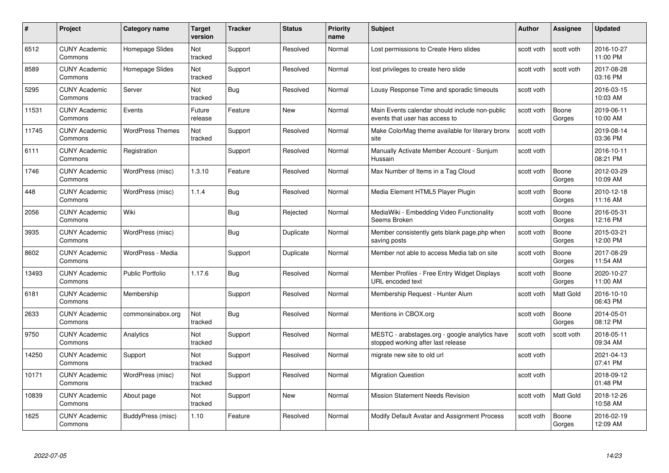| #     | Project                         | <b>Category name</b>    | Target<br>version | <b>Tracker</b> | <b>Status</b> | <b>Priority</b><br>name | <b>Subject</b>                                                                       | <b>Author</b> | <b>Assignee</b> | <b>Updated</b>         |
|-------|---------------------------------|-------------------------|-------------------|----------------|---------------|-------------------------|--------------------------------------------------------------------------------------|---------------|-----------------|------------------------|
| 6512  | <b>CUNY Academic</b><br>Commons | Homepage Slides         | Not<br>tracked    | Support        | Resolved      | Normal                  | Lost permissions to Create Hero slides                                               | scott voth    | scott voth      | 2016-10-27<br>11:00 PM |
| 8589  | <b>CUNY Academic</b><br>Commons | Homepage Slides         | Not<br>tracked    | Support        | Resolved      | Normal                  | lost privileges to create hero slide                                                 | scott voth    | scott voth      | 2017-08-28<br>03:16 PM |
| 5295  | <b>CUNY Academic</b><br>Commons | Server                  | Not<br>tracked    | <b>Bug</b>     | Resolved      | Normal                  | Lousy Response Time and sporadic timeouts                                            | scott voth    |                 | 2016-03-15<br>10:03 AM |
| 11531 | <b>CUNY Academic</b><br>Commons | Events                  | Future<br>release | Feature        | <b>New</b>    | Normal                  | Main Events calendar should include non-public<br>events that user has access to     | scott voth    | Boone<br>Gorges | 2019-06-11<br>10:00 AM |
| 11745 | <b>CUNY Academic</b><br>Commons | <b>WordPress Themes</b> | Not<br>tracked    | Support        | Resolved      | Normal                  | Make ColorMag theme available for literary bronx<br>site                             | scott voth    |                 | 2019-08-14<br>03:36 PM |
| 6111  | <b>CUNY Academic</b><br>Commons | Registration            |                   | Support        | Resolved      | Normal                  | Manually Activate Member Account - Sunjum<br>Hussain                                 | scott voth    |                 | 2016-10-11<br>08:21 PM |
| 1746  | <b>CUNY Academic</b><br>Commons | WordPress (misc)        | 1.3.10            | Feature        | Resolved      | Normal                  | Max Number of Items in a Tag Cloud                                                   | scott voth    | Boone<br>Gorges | 2012-03-29<br>10:09 AM |
| 448   | <b>CUNY Academic</b><br>Commons | WordPress (misc)        | 1.1.4             | <b>Bug</b>     | Resolved      | Normal                  | Media Element HTML5 Player Plugin                                                    | scott voth    | Boone<br>Gorges | 2010-12-18<br>11:16 AM |
| 2056  | <b>CUNY Academic</b><br>Commons | Wiki                    |                   | Bug            | Rejected      | Normal                  | MediaWiki - Embedding Video Functionality<br>Seems Broken                            | scott voth    | Boone<br>Gorges | 2016-05-31<br>12:16 PM |
| 3935  | <b>CUNY Academic</b><br>Commons | WordPress (misc)        |                   | <b>Bug</b>     | Duplicate     | Normal                  | Member consistently gets blank page.php when<br>saving posts                         | scott voth    | Boone<br>Gorges | 2015-03-21<br>12:00 PM |
| 8602  | CUNY Academic<br>Commons        | WordPress - Media       |                   | Support        | Duplicate     | Normal                  | Member not able to access Media tab on site                                          | scott voth    | Boone<br>Gorges | 2017-08-29<br>11:54 AM |
| 13493 | <b>CUNY Academic</b><br>Commons | <b>Public Portfolio</b> | 1.17.6            | <b>Bug</b>     | Resolved      | Normal                  | Member Profiles - Free Entry Widget Displays<br>URL encoded text                     | scott voth    | Boone<br>Gorges | 2020-10-27<br>11:00 AM |
| 6181  | <b>CUNY Academic</b><br>Commons | Membership              |                   | Support        | Resolved      | Normal                  | Membership Request - Hunter Alum                                                     | scott voth    | Matt Gold       | 2016-10-10<br>06:43 PM |
| 2633  | <b>CUNY Academic</b><br>Commons | commonsinabox.org       | Not<br>tracked    | <b>Bug</b>     | Resolved      | Normal                  | Mentions in CBOX.org                                                                 | scott voth    | Boone<br>Gorges | 2014-05-01<br>08:12 PM |
| 9750  | <b>CUNY Academic</b><br>Commons | Analytics               | Not<br>tracked    | Support        | Resolved      | Normal                  | MESTC - arabstages.org - google analytics have<br>stopped working after last release | scott voth    | scott voth      | 2018-05-11<br>09:34 AM |
| 14250 | <b>CUNY Academic</b><br>Commons | Support                 | Not<br>tracked    | Support        | Resolved      | Normal                  | migrate new site to old url                                                          | scott voth    |                 | 2021-04-13<br>07:41 PM |
| 10171 | <b>CUNY Academic</b><br>Commons | WordPress (misc)        | Not<br>tracked    | Support        | Resolved      | Normal                  | <b>Migration Question</b>                                                            | scott voth    |                 | 2018-09-12<br>01:48 PM |
| 10839 | <b>CUNY Academic</b><br>Commons | About page              | Not<br>tracked    | Support        | <b>New</b>    | Normal                  | <b>Mission Statement Needs Revision</b>                                              | scott voth    | Matt Gold       | 2018-12-26<br>10:58 AM |
| 1625  | CUNY Academic<br>Commons        | BuddyPress (misc)       | 1.10              | Feature        | Resolved      | Normal                  | Modify Default Avatar and Assignment Process                                         | scott voth    | Boone<br>Gorges | 2016-02-19<br>12:09 AM |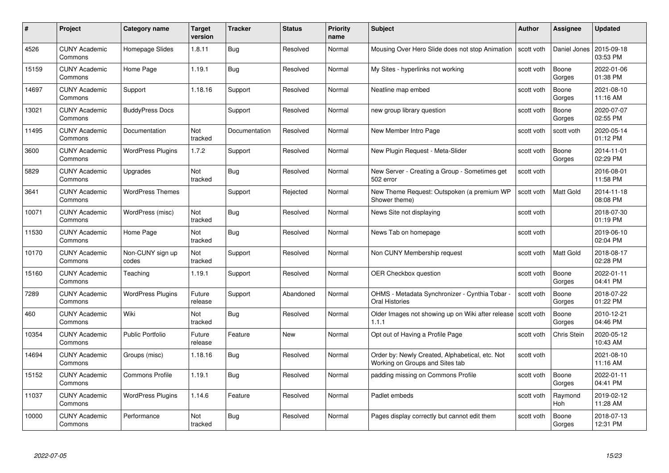| #     | Project                         | <b>Category name</b>      | <b>Target</b><br>version | <b>Tracker</b> | <b>Status</b> | <b>Priority</b><br>name | <b>Subject</b>                                                                     | <b>Author</b> | Assignee         | <b>Updated</b>         |
|-------|---------------------------------|---------------------------|--------------------------|----------------|---------------|-------------------------|------------------------------------------------------------------------------------|---------------|------------------|------------------------|
| 4526  | <b>CUNY Academic</b><br>Commons | Homepage Slides           | 1.8.11                   | Bug            | Resolved      | Normal                  | Mousing Over Hero Slide does not stop Animation                                    | scott voth    | Daniel Jones     | 2015-09-18<br>03:53 PM |
| 15159 | <b>CUNY Academic</b><br>Commons | Home Page                 | 1.19.1                   | <b>Bug</b>     | Resolved      | Normal                  | My Sites - hyperlinks not working                                                  | scott voth    | Boone<br>Gorges  | 2022-01-06<br>01:38 PM |
| 14697 | <b>CUNY Academic</b><br>Commons | Support                   | 1.18.16                  | Support        | Resolved      | Normal                  | Neatline map embed                                                                 | scott voth    | Boone<br>Gorges  | 2021-08-10<br>11:16 AM |
| 13021 | <b>CUNY Academic</b><br>Commons | <b>BuddyPress Docs</b>    |                          | Support        | Resolved      | Normal                  | new group library question                                                         | scott voth    | Boone<br>Gorges  | 2020-07-07<br>02:55 PM |
| 11495 | <b>CUNY Academic</b><br>Commons | Documentation             | Not<br>tracked           | Documentation  | Resolved      | Normal                  | New Member Intro Page                                                              | scott voth    | scott voth       | 2020-05-14<br>01:12 PM |
| 3600  | <b>CUNY Academic</b><br>Commons | <b>WordPress Plugins</b>  | 1.7.2                    | Support        | Resolved      | Normal                  | New Plugin Request - Meta-Slider                                                   | scott voth    | Boone<br>Gorges  | 2014-11-01<br>02:29 PM |
| 5829  | <b>CUNY Academic</b><br>Commons | Upgrades                  | Not<br>tracked           | Bug            | Resolved      | Normal                  | New Server - Creating a Group - Sometimes get<br>502 error                         | scott voth    |                  | 2016-08-01<br>11:58 PM |
| 3641  | <b>CUNY Academic</b><br>Commons | <b>WordPress Themes</b>   |                          | Support        | Rejected      | Normal                  | New Theme Request: Outspoken (a premium WP<br>Shower theme)                        | scott voth    | <b>Matt Gold</b> | 2014-11-18<br>08:08 PM |
| 10071 | <b>CUNY Academic</b><br>Commons | WordPress (misc)          | Not<br>tracked           | <b>Bug</b>     | Resolved      | Normal                  | News Site not displaying                                                           | scott voth    |                  | 2018-07-30<br>01:19 PM |
| 11530 | <b>CUNY Academic</b><br>Commons | Home Page                 | Not<br>tracked           | <b>Bug</b>     | Resolved      | Normal                  | News Tab on homepage                                                               | scott voth    |                  | 2019-06-10<br>02:04 PM |
| 10170 | CUNY Academic<br>Commons        | Non-CUNY sign up<br>codes | Not<br>tracked           | Support        | Resolved      | Normal                  | Non CUNY Membership request                                                        | scott voth    | <b>Matt Gold</b> | 2018-08-17<br>02:28 PM |
| 15160 | <b>CUNY Academic</b><br>Commons | Teaching                  | 1.19.1                   | Support        | Resolved      | Normal                  | OER Checkbox question                                                              | scott voth    | Boone<br>Gorges  | 2022-01-11<br>04:41 PM |
| 7289  | <b>CUNY Academic</b><br>Commons | <b>WordPress Plugins</b>  | Future<br>release        | Support        | Abandoned     | Normal                  | OHMS - Metadata Synchronizer - Cynthia Tobar -<br>Oral Histories                   | scott voth    | Boone<br>Gorges  | 2018-07-22<br>01:22 PM |
| 460   | <b>CUNY Academic</b><br>Commons | Wiki                      | Not<br>tracked           | <b>Bug</b>     | Resolved      | Normal                  | Older Images not showing up on Wiki after release<br>1.1.1                         | scott voth    | Boone<br>Gorges  | 2010-12-21<br>04:46 PM |
| 10354 | <b>CUNY Academic</b><br>Commons | <b>Public Portfolio</b>   | Future<br>release        | Feature        | <b>New</b>    | Normal                  | Opt out of Having a Profile Page                                                   | scott voth    | Chris Stein      | 2020-05-12<br>10:43 AM |
| 14694 | <b>CUNY Academic</b><br>Commons | Groups (misc)             | 1.18.16                  | Bug            | Resolved      | Normal                  | Order by: Newly Created, Alphabetical, etc. Not<br>Working on Groups and Sites tab | scott voth    |                  | 2021-08-10<br>11:16 AM |
| 15152 | <b>CUNY Academic</b><br>Commons | <b>Commons Profile</b>    | 1.19.1                   | Bug            | Resolved      | Normal                  | padding missing on Commons Profile                                                 | scott voth    | Boone<br>Gorges  | 2022-01-11<br>04:41 PM |
| 11037 | <b>CUNY Academic</b><br>Commons | <b>WordPress Plugins</b>  | 1.14.6                   | Feature        | Resolved      | Normal                  | Padlet embeds                                                                      | scott voth    | Raymond<br>Hoh   | 2019-02-12<br>11:28 AM |
| 10000 | CUNY Academic<br>Commons        | Performance               | Not<br>tracked           | <b>Bug</b>     | Resolved      | Normal                  | Pages display correctly but cannot edit them                                       | scott voth    | Boone<br>Gorges  | 2018-07-13<br>12:31 PM |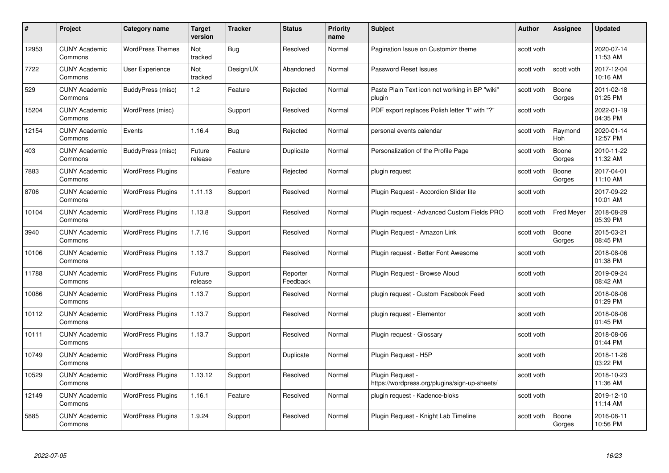| #     | Project                         | <b>Category name</b>     | Target<br>version | <b>Tracker</b> | <b>Status</b>        | <b>Priority</b><br>name | <b>Subject</b>                                                    | <b>Author</b> | <b>Assignee</b>       | <b>Updated</b>         |
|-------|---------------------------------|--------------------------|-------------------|----------------|----------------------|-------------------------|-------------------------------------------------------------------|---------------|-----------------------|------------------------|
| 12953 | <b>CUNY Academic</b><br>Commons | <b>WordPress Themes</b>  | Not<br>tracked    | Bug            | Resolved             | Normal                  | Pagination Issue on Customizr theme                               | scott voth    |                       | 2020-07-14<br>11:53 AM |
| 7722  | <b>CUNY Academic</b><br>Commons | User Experience          | Not<br>tracked    | Design/UX      | Abandoned            | Normal                  | Password Reset Issues                                             | scott voth    | scott voth            | 2017-12-04<br>10:16 AM |
| 529   | <b>CUNY Academic</b><br>Commons | BuddyPress (misc)        | 1.2               | Feature        | Rejected             | Normal                  | Paste Plain Text icon not working in BP "wiki"<br>plugin          | scott voth    | Boone<br>Gorges       | 2011-02-18<br>01:25 PM |
| 15204 | <b>CUNY Academic</b><br>Commons | WordPress (misc)         |                   | Support        | Resolved             | Normal                  | PDF export replaces Polish letter "ł" with "?"                    | scott voth    |                       | 2022-01-19<br>04:35 PM |
| 12154 | <b>CUNY Academic</b><br>Commons | Events                   | 1.16.4            | <b>Bug</b>     | Rejected             | Normal                  | personal events calendar                                          | scott voth    | Raymond<br><b>Hoh</b> | 2020-01-14<br>12:57 PM |
| 403   | <b>CUNY Academic</b><br>Commons | BuddyPress (misc)        | Future<br>release | Feature        | Duplicate            | Normal                  | Personalization of the Profile Page                               | scott voth    | Boone<br>Gorges       | 2010-11-22<br>11:32 AM |
| 7883  | <b>CUNY Academic</b><br>Commons | <b>WordPress Plugins</b> |                   | Feature        | Rejected             | Normal                  | plugin request                                                    | scott voth    | Boone<br>Gorges       | 2017-04-01<br>11:10 AM |
| 8706  | <b>CUNY Academic</b><br>Commons | <b>WordPress Plugins</b> | 1.11.13           | Support        | Resolved             | Normal                  | Plugin Request - Accordion Slider lite                            | scott voth    |                       | 2017-09-22<br>10:01 AM |
| 10104 | <b>CUNY Academic</b><br>Commons | <b>WordPress Plugins</b> | 1.13.8            | Support        | Resolved             | Normal                  | Plugin request - Advanced Custom Fields PRO                       | scott voth    | <b>Fred Meyer</b>     | 2018-08-29<br>05:39 PM |
| 3940  | <b>CUNY Academic</b><br>Commons | <b>WordPress Plugins</b> | 1.7.16            | Support        | Resolved             | Normal                  | Plugin Request - Amazon Link                                      | scott voth    | Boone<br>Gorges       | 2015-03-21<br>08:45 PM |
| 10106 | CUNY Academic<br>Commons        | <b>WordPress Plugins</b> | 1.13.7            | Support        | Resolved             | Normal                  | Plugin request - Better Font Awesome                              | scott voth    |                       | 2018-08-06<br>01:38 PM |
| 11788 | <b>CUNY Academic</b><br>Commons | <b>WordPress Plugins</b> | Future<br>release | Support        | Reporter<br>Feedback | Normal                  | Plugin Request - Browse Aloud                                     | scott voth    |                       | 2019-09-24<br>08:42 AM |
| 10086 | <b>CUNY Academic</b><br>Commons | <b>WordPress Plugins</b> | 1.13.7            | Support        | Resolved             | Normal                  | plugin request - Custom Facebook Feed                             | scott voth    |                       | 2018-08-06<br>01:29 PM |
| 10112 | <b>CUNY Academic</b><br>Commons | <b>WordPress Plugins</b> | 1.13.7            | Support        | Resolved             | Normal                  | plugin request - Elementor                                        | scott voth    |                       | 2018-08-06<br>01:45 PM |
| 10111 | <b>CUNY Academic</b><br>Commons | <b>WordPress Plugins</b> | 1.13.7            | Support        | Resolved             | Normal                  | Plugin request - Glossary                                         | scott voth    |                       | 2018-08-06<br>01:44 PM |
| 10749 | <b>CUNY Academic</b><br>Commons | <b>WordPress Plugins</b> |                   | Support        | Duplicate            | Normal                  | Plugin Request - H5P                                              | scott voth    |                       | 2018-11-26<br>03:22 PM |
| 10529 | <b>CUNY Academic</b><br>Commons | <b>WordPress Plugins</b> | 1.13.12           | Support        | Resolved             | Normal                  | Plugin Request -<br>https://wordpress.org/plugins/sign-up-sheets/ | scott voth    |                       | 2018-10-23<br>11:36 AM |
| 12149 | <b>CUNY Academic</b><br>Commons | <b>WordPress Plugins</b> | 1.16.1            | Feature        | Resolved             | Normal                  | plugin request - Kadence-bloks                                    | scott voth    |                       | 2019-12-10<br>11:14 AM |
| 5885  | CUNY Academic<br>Commons        | <b>WordPress Plugins</b> | 1.9.24            | Support        | Resolved             | Normal                  | Plugin Request - Knight Lab Timeline                              | scott voth    | Boone<br>Gorges       | 2016-08-11<br>10:56 PM |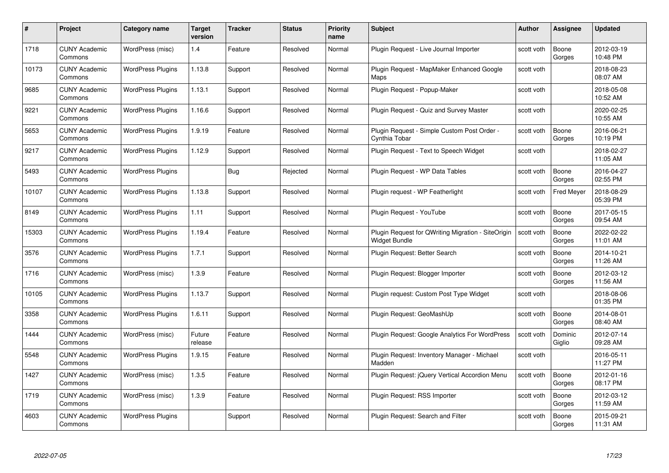| #     | Project                         | <b>Category name</b>     | Target<br>version | <b>Tracker</b> | <b>Status</b> | <b>Priority</b><br>name | <b>Subject</b>                                                      | <b>Author</b> | <b>Assignee</b>   | <b>Updated</b>         |
|-------|---------------------------------|--------------------------|-------------------|----------------|---------------|-------------------------|---------------------------------------------------------------------|---------------|-------------------|------------------------|
| 1718  | <b>CUNY Academic</b><br>Commons | WordPress (misc)         | 1.4               | Feature        | Resolved      | Normal                  | Plugin Request - Live Journal Importer                              | scott voth    | Boone<br>Gorges   | 2012-03-19<br>10:48 PM |
| 10173 | <b>CUNY Academic</b><br>Commons | <b>WordPress Plugins</b> | 1.13.8            | Support        | Resolved      | Normal                  | Plugin Request - MapMaker Enhanced Google<br>Maps                   | scott voth    |                   | 2018-08-23<br>08:07 AM |
| 9685  | <b>CUNY Academic</b><br>Commons | <b>WordPress Plugins</b> | 1.13.1            | Support        | Resolved      | Normal                  | Plugin Request - Popup-Maker                                        | scott voth    |                   | 2018-05-08<br>10:52 AM |
| 9221  | <b>CUNY Academic</b><br>Commons | <b>WordPress Plugins</b> | 1.16.6            | Support        | Resolved      | Normal                  | Plugin Request - Quiz and Survey Master                             | scott voth    |                   | 2020-02-25<br>10:55 AM |
| 5653  | CUNY Academic<br>Commons        | <b>WordPress Plugins</b> | 1.9.19            | Feature        | Resolved      | Normal                  | Plugin Request - Simple Custom Post Order -<br>Cynthia Tobar        | scott voth    | Boone<br>Gorges   | 2016-06-21<br>10:19 PM |
| 9217  | <b>CUNY Academic</b><br>Commons | <b>WordPress Plugins</b> | 1.12.9            | Support        | Resolved      | Normal                  | Plugin Request - Text to Speech Widget                              | scott voth    |                   | 2018-02-27<br>11:05 AM |
| 5493  | <b>CUNY Academic</b><br>Commons | <b>WordPress Plugins</b> |                   | Bug            | Rejected      | Normal                  | Plugin Request - WP Data Tables                                     | scott voth    | Boone<br>Gorges   | 2016-04-27<br>02:55 PM |
| 10107 | <b>CUNY Academic</b><br>Commons | <b>WordPress Plugins</b> | 1.13.8            | Support        | Resolved      | Normal                  | Plugin request - WP Featherlight                                    | scott voth    | <b>Fred Meyer</b> | 2018-08-29<br>05:39 PM |
| 8149  | <b>CUNY Academic</b><br>Commons | <b>WordPress Plugins</b> | 1.11              | Support        | Resolved      | Normal                  | Plugin Request - YouTube                                            | scott voth    | Boone<br>Gorges   | 2017-05-15<br>09:54 AM |
| 15303 | <b>CUNY Academic</b><br>Commons | <b>WordPress Plugins</b> | 1.19.4            | Feature        | Resolved      | Normal                  | Plugin Request for QWriting Migration - SiteOrigin<br>Widget Bundle | scott voth    | Boone<br>Gorges   | 2022-02-22<br>11:01 AM |
| 3576  | CUNY Academic<br>Commons        | <b>WordPress Plugins</b> | 1.7.1             | Support        | Resolved      | Normal                  | Plugin Request: Better Search                                       | scott voth    | Boone<br>Gorges   | 2014-10-21<br>11:26 AM |
| 1716  | <b>CUNY Academic</b><br>Commons | WordPress (misc)         | 1.3.9             | Feature        | Resolved      | Normal                  | Plugin Request: Blogger Importer                                    | scott voth    | Boone<br>Gorges   | 2012-03-12<br>11:56 AM |
| 10105 | <b>CUNY Academic</b><br>Commons | <b>WordPress Plugins</b> | 1.13.7            | Support        | Resolved      | Normal                  | Plugin request: Custom Post Type Widget                             | scott voth    |                   | 2018-08-06<br>01:35 PM |
| 3358  | <b>CUNY Academic</b><br>Commons | <b>WordPress Plugins</b> | 1.6.11            | Support        | Resolved      | Normal                  | Plugin Request: GeoMashUp                                           | scott voth    | Boone<br>Gorges   | 2014-08-01<br>08:40 AM |
| 1444  | <b>CUNY Academic</b><br>Commons | WordPress (misc)         | Future<br>release | Feature        | Resolved      | Normal                  | Plugin Request: Google Analytics For WordPress                      | scott voth    | Dominic<br>Giglio | 2012-07-14<br>09:28 AM |
| 5548  | <b>CUNY Academic</b><br>Commons | <b>WordPress Plugins</b> | 1.9.15            | Feature        | Resolved      | Normal                  | Plugin Request: Inventory Manager - Michael<br>Madden               | scott voth    |                   | 2016-05-11<br>11:27 PM |
| 1427  | <b>CUNY Academic</b><br>Commons | WordPress (misc)         | 1.3.5             | Feature        | Resolved      | Normal                  | Plugin Request: jQuery Vertical Accordion Menu                      | scott voth    | Boone<br>Gorges   | 2012-01-16<br>08:17 PM |
| 1719  | <b>CUNY Academic</b><br>Commons | WordPress (misc)         | 1.3.9             | Feature        | Resolved      | Normal                  | Plugin Request: RSS Importer                                        | scott voth    | Boone<br>Gorges   | 2012-03-12<br>11:59 AM |
| 4603  | CUNY Academic<br>Commons        | <b>WordPress Plugins</b> |                   | Support        | Resolved      | Normal                  | Plugin Request: Search and Filter                                   | scott voth    | Boone<br>Gorges   | 2015-09-21<br>11:31 AM |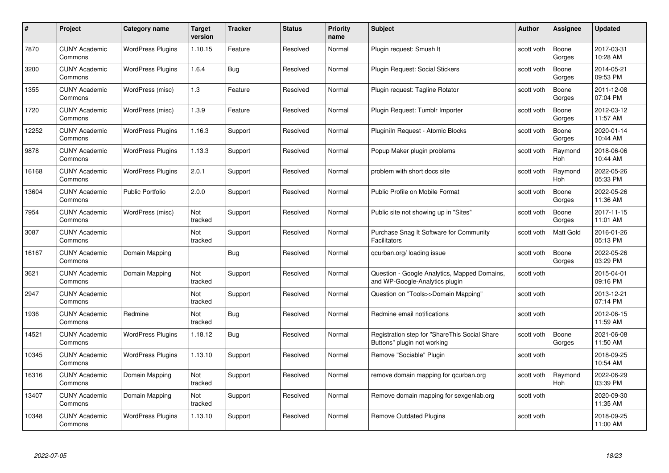| #     | Project                         | <b>Category name</b>     | Target<br>version | <b>Tracker</b> | <b>Status</b> | <b>Priority</b><br>name | <b>Subject</b>                                                                 | <b>Author</b> | <b>Assignee</b>       | <b>Updated</b>         |
|-------|---------------------------------|--------------------------|-------------------|----------------|---------------|-------------------------|--------------------------------------------------------------------------------|---------------|-----------------------|------------------------|
| 7870  | <b>CUNY Academic</b><br>Commons | <b>WordPress Plugins</b> | 1.10.15           | Feature        | Resolved      | Normal                  | Plugin request: Smush It                                                       | scott voth    | Boone<br>Gorges       | 2017-03-31<br>10:28 AM |
| 3200  | <b>CUNY Academic</b><br>Commons | <b>WordPress Plugins</b> | 1.6.4             | Bug            | Resolved      | Normal                  | Plugin Request: Social Stickers                                                | scott voth    | Boone<br>Gorges       | 2014-05-21<br>09:53 PM |
| 1355  | <b>CUNY Academic</b><br>Commons | WordPress (misc)         | 1.3               | Feature        | Resolved      | Normal                  | Plugin request: Tagline Rotator                                                | scott voth    | Boone<br>Gorges       | 2011-12-08<br>07:04 PM |
| 1720  | <b>CUNY Academic</b><br>Commons | WordPress (misc)         | 1.3.9             | Feature        | Resolved      | Normal                  | Plugin Request: Tumblr Importer                                                | scott voth    | Boone<br>Gorges       | 2012-03-12<br>11:57 AM |
| 12252 | <b>CUNY Academic</b><br>Commons | <b>WordPress Plugins</b> | 1.16.3            | Support        | Resolved      | Normal                  | Pluginiln Request - Atomic Blocks                                              | scott voth    | Boone<br>Gorges       | 2020-01-14<br>10:44 AM |
| 9878  | <b>CUNY Academic</b><br>Commons | <b>WordPress Plugins</b> | 1.13.3            | Support        | Resolved      | Normal                  | Popup Maker plugin problems                                                    | scott voth    | Raymond<br>Hoh        | 2018-06-06<br>10:44 AM |
| 16168 | <b>CUNY Academic</b><br>Commons | <b>WordPress Plugins</b> | 2.0.1             | Support        | Resolved      | Normal                  | problem with short docs site                                                   | scott voth    | Raymond<br>Hoh        | 2022-05-26<br>05:33 PM |
| 13604 | <b>CUNY Academic</b><br>Commons | <b>Public Portfolio</b>  | 2.0.0             | Support        | Resolved      | Normal                  | Public Profile on Mobile Format                                                | scott voth    | Boone<br>Gorges       | 2022-05-26<br>11:36 AM |
| 7954  | <b>CUNY Academic</b><br>Commons | WordPress (misc)         | Not<br>tracked    | Support        | Resolved      | Normal                  | Public site not showing up in "Sites"                                          | scott voth    | Boone<br>Gorges       | 2017-11-15<br>11:01 AM |
| 3087  | <b>CUNY Academic</b><br>Commons |                          | Not<br>tracked    | Support        | Resolved      | Normal                  | Purchase Snag It Software for Community<br>Facilitators                        | scott voth    | Matt Gold             | 2016-01-26<br>05:13 PM |
| 16167 | CUNY Academic<br>Commons        | Domain Mapping           |                   | Bug            | Resolved      | Normal                  | qcurban.org/loading issue                                                      | scott voth    | Boone<br>Gorges       | 2022-05-26<br>03:29 PM |
| 3621  | <b>CUNY Academic</b><br>Commons | Domain Mapping           | Not<br>tracked    | Support        | Resolved      | Normal                  | Question - Google Analytics, Mapped Domains,<br>and WP-Google-Analytics plugin | scott voth    |                       | 2015-04-01<br>09:16 PM |
| 2947  | <b>CUNY Academic</b><br>Commons |                          | Not<br>tracked    | Support        | Resolved      | Normal                  | Question on "Tools>>Domain Mapping"                                            | scott voth    |                       | 2013-12-21<br>07:14 PM |
| 1936  | <b>CUNY Academic</b><br>Commons | Redmine                  | Not<br>tracked    | <b>Bug</b>     | Resolved      | Normal                  | Redmine email notifications                                                    | scott voth    |                       | 2012-06-15<br>11:59 AM |
| 14521 | <b>CUNY Academic</b><br>Commons | <b>WordPress Plugins</b> | 1.18.12           | Bug            | Resolved      | Normal                  | Registration step for "ShareThis Social Share<br>Buttons" plugin not working   | scott voth    | Boone<br>Gorges       | 2021-06-08<br>11:50 AM |
| 10345 | <b>CUNY Academic</b><br>Commons | <b>WordPress Plugins</b> | 1.13.10           | Support        | Resolved      | Normal                  | Remove "Sociable" Plugin                                                       | scott voth    |                       | 2018-09-25<br>10:54 AM |
| 16316 | <b>CUNY Academic</b><br>Commons | Domain Mapping           | Not<br>tracked    | Support        | Resolved      | Normal                  | remove domain mapping for gcurban.org                                          | scott voth    | Raymond<br><b>Hoh</b> | 2022-06-29<br>03:39 PM |
| 13407 | <b>CUNY Academic</b><br>Commons | Domain Mapping           | Not<br>tracked    | Support        | Resolved      | Normal                  | Remove domain mapping for sexgenlab.org                                        | scott voth    |                       | 2020-09-30<br>11:35 AM |
| 10348 | CUNY Academic<br>Commons        | <b>WordPress Plugins</b> | 1.13.10           | Support        | Resolved      | Normal                  | Remove Outdated Plugins                                                        | scott voth    |                       | 2018-09-25<br>11:00 AM |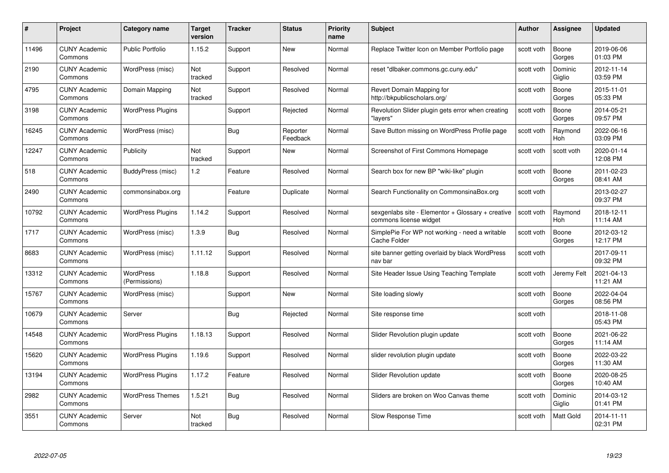| #     | Project                         | <b>Category name</b>              | Target<br>version     | <b>Tracker</b> | <b>Status</b>        | <b>Priority</b><br>name | <b>Subject</b>                                                              | <b>Author</b> | <b>Assignee</b>       | <b>Updated</b>         |
|-------|---------------------------------|-----------------------------------|-----------------------|----------------|----------------------|-------------------------|-----------------------------------------------------------------------------|---------------|-----------------------|------------------------|
| 11496 | <b>CUNY Academic</b><br>Commons | <b>Public Portfolio</b>           | 1.15.2                | Support        | <b>New</b>           | Normal                  | Replace Twitter Icon on Member Portfolio page                               | scott voth    | Boone<br>Gorges       | 2019-06-06<br>01:03 PM |
| 2190  | <b>CUNY Academic</b><br>Commons | WordPress (misc)                  | Not<br>tracked        | Support        | Resolved             | Normal                  | reset "dlbaker.commons.gc.cuny.edu"                                         | scott voth    | Dominic<br>Giglio     | 2012-11-14<br>03:59 PM |
| 4795  | <b>CUNY Academic</b><br>Commons | Domain Mapping                    | Not<br>tracked        | Support        | Resolved             | Normal                  | Revert Domain Mapping for<br>http://bkpublicscholars.org/                   | scott voth    | Boone<br>Gorges       | 2015-11-01<br>05:33 PM |
| 3198  | <b>CUNY Academic</b><br>Commons | <b>WordPress Plugins</b>          |                       | Support        | Rejected             | Normal                  | Revolution Slider plugin gets error when creating<br>"layers"               | scott voth    | Boone<br>Gorges       | 2014-05-21<br>09:57 PM |
| 16245 | <b>CUNY Academic</b><br>Commons | WordPress (misc)                  |                       | Bug            | Reporter<br>Feedback | Normal                  | Save Button missing on WordPress Profile page                               | scott voth    | Raymond<br><b>Hoh</b> | 2022-06-16<br>03:09 PM |
| 12247 | <b>CUNY Academic</b><br>Commons | Publicity                         | <b>Not</b><br>tracked | Support        | <b>New</b>           | Normal                  | Screenshot of First Commons Homepage                                        | scott voth    | scott voth            | 2020-01-14<br>12:08 PM |
| 518   | <b>CUNY Academic</b><br>Commons | BuddyPress (misc)                 | 1.2                   | Feature        | Resolved             | Normal                  | Search box for new BP "wiki-like" plugin                                    | scott voth    | Boone<br>Gorges       | 2011-02-23<br>08:41 AM |
| 2490  | <b>CUNY Academic</b><br>Commons | commonsinabox.org                 |                       | Feature        | Duplicate            | Normal                  | Search Functionality on CommonsinaBox.org                                   | scott voth    |                       | 2013-02-27<br>09:37 PM |
| 10792 | <b>CUNY Academic</b><br>Commons | <b>WordPress Plugins</b>          | 1.14.2                | Support        | Resolved             | Normal                  | sexgenlabs site - Elementor + Glossary + creative<br>commons license widget | scott voth    | Raymond<br>Hoh        | 2018-12-11<br>11:14 AM |
| 1717  | <b>CUNY Academic</b><br>Commons | WordPress (misc)                  | 1.3.9                 | Bug            | Resolved             | Normal                  | SimplePie For WP not working - need a writable<br>Cache Folder              | scott voth    | Boone<br>Gorges       | 2012-03-12<br>12:17 PM |
| 8683  | CUNY Academic<br>Commons        | WordPress (misc)                  | 1.11.12               | Support        | Resolved             | Normal                  | site banner getting overlaid by black WordPress<br>nav bar                  | scott voth    |                       | 2017-09-11<br>09:32 PM |
| 13312 | <b>CUNY Academic</b><br>Commons | <b>WordPress</b><br>(Permissions) | 1.18.8                | Support        | Resolved             | Normal                  | Site Header Issue Using Teaching Template                                   | scott voth    | Jeremy Felt           | 2021-04-13<br>11:21 AM |
| 15767 | <b>CUNY Academic</b><br>Commons | WordPress (misc)                  |                       | Support        | New                  | Normal                  | Site loading slowly                                                         | scott voth    | Boone<br>Gorges       | 2022-04-04<br>08:56 PM |
| 10679 | <b>CUNY Academic</b><br>Commons | Server                            |                       | <b>Bug</b>     | Rejected             | Normal                  | Site response time                                                          | scott voth    |                       | 2018-11-08<br>05:43 PM |
| 14548 | <b>CUNY Academic</b><br>Commons | <b>WordPress Plugins</b>          | 1.18.13               | Support        | Resolved             | Normal                  | Slider Revolution plugin update                                             | scott voth    | Boone<br>Gorges       | 2021-06-22<br>11:14 AM |
| 15620 | <b>CUNY Academic</b><br>Commons | <b>WordPress Plugins</b>          | 1.19.6                | Support        | Resolved             | Normal                  | slider revolution plugin update                                             | scott voth    | Boone<br>Gorges       | 2022-03-22<br>11:30 AM |
| 13194 | <b>CUNY Academic</b><br>Commons | <b>WordPress Plugins</b>          | 1.17.2                | Feature        | Resolved             | Normal                  | <b>Slider Revolution update</b>                                             | scott voth    | Boone<br>Gorges       | 2020-08-25<br>10:40 AM |
| 2982  | <b>CUNY Academic</b><br>Commons | <b>WordPress Themes</b>           | 1.5.21                | <b>Bug</b>     | Resolved             | Normal                  | Sliders are broken on Woo Canvas theme                                      | scott voth    | Dominic<br>Giglio     | 2014-03-12<br>01:41 PM |
| 3551  | <b>CUNY Academic</b><br>Commons | Server                            | Not<br>tracked        | Bug            | Resolved             | Normal                  | Slow Response Time                                                          | scott voth    | <b>Matt Gold</b>      | 2014-11-11<br>02:31 PM |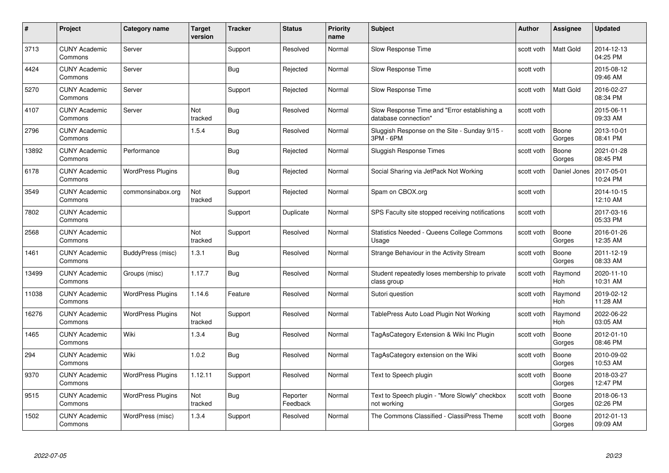| #     | Project                         | <b>Category name</b>     | Target<br>version     | <b>Tracker</b> | <b>Status</b>        | <b>Priority</b><br>name | <b>Subject</b>                                                       | <b>Author</b> | <b>Assignee</b>  | <b>Updated</b>         |
|-------|---------------------------------|--------------------------|-----------------------|----------------|----------------------|-------------------------|----------------------------------------------------------------------|---------------|------------------|------------------------|
| 3713  | <b>CUNY Academic</b><br>Commons | Server                   |                       | Support        | Resolved             | Normal                  | Slow Response Time                                                   | scott voth    | <b>Matt Gold</b> | 2014-12-13<br>04:25 PM |
| 4424  | <b>CUNY Academic</b><br>Commons | Server                   |                       | Bug            | Rejected             | Normal                  | Slow Response Time                                                   | scott voth    |                  | 2015-08-12<br>09:46 AM |
| 5270  | <b>CUNY Academic</b><br>Commons | Server                   |                       | Support        | Rejected             | Normal                  | Slow Response Time                                                   | scott voth    | Matt Gold        | 2016-02-27<br>08:34 PM |
| 4107  | <b>CUNY Academic</b><br>Commons | Server                   | <b>Not</b><br>tracked | <b>Bug</b>     | Resolved             | Normal                  | Slow Response Time and "Error establishing a<br>database connection" | scott voth    |                  | 2015-06-11<br>09:33 AM |
| 2796  | CUNY Academic<br>Commons        |                          | 1.5.4                 | Bug            | Resolved             | Normal                  | Sluggish Response on the Site - Sunday 9/15 -<br>3PM - 6PM           | scott voth    | Boone<br>Gorges  | 2013-10-01<br>08:41 PM |
| 13892 | <b>CUNY Academic</b><br>Commons | Performance              |                       | Bug            | Rejected             | Normal                  | Sluggish Response Times                                              | scott voth    | Boone<br>Gorges  | 2021-01-28<br>08:45 PM |
| 6178  | <b>CUNY Academic</b><br>Commons | <b>WordPress Plugins</b> |                       | Bug            | Rejected             | Normal                  | Social Sharing via JetPack Not Working                               | scott voth    | Daniel Jones     | 2017-05-01<br>10:24 PM |
| 3549  | <b>CUNY Academic</b><br>Commons | commonsinabox.org        | Not<br>tracked        | Support        | Rejected             | Normal                  | Spam on CBOX.org                                                     | scott voth    |                  | 2014-10-15<br>12:10 AM |
| 7802  | <b>CUNY Academic</b><br>Commons |                          |                       | Support        | Duplicate            | Normal                  | SPS Faculty site stopped receiving notifications                     | scott voth    |                  | 2017-03-16<br>05:33 PM |
| 2568  | <b>CUNY Academic</b><br>Commons |                          | Not<br>tracked        | Support        | Resolved             | Normal                  | <b>Statistics Needed - Queens College Commons</b><br>Usage           | scott voth    | Boone<br>Gorges  | 2016-01-26<br>12:35 AM |
| 1461  | CUNY Academic<br>Commons        | BuddyPress (misc)        | 1.3.1                 | Bug            | Resolved             | Normal                  | Strange Behaviour in the Activity Stream                             | scott voth    | Boone<br>Gorges  | 2011-12-19<br>08:33 AM |
| 13499 | <b>CUNY Academic</b><br>Commons | Groups (misc)            | 1.17.7                | <b>Bug</b>     | Resolved             | Normal                  | Student repeatedly loses membership to private<br>class group        | scott voth    | Raymond<br>Hoh   | 2020-11-10<br>10:31 AM |
| 11038 | <b>CUNY Academic</b><br>Commons | <b>WordPress Plugins</b> | 1.14.6                | Feature        | Resolved             | Normal                  | Sutori question                                                      | scott voth    | Raymond<br>Hoh   | 2019-02-12<br>11:28 AM |
| 16276 | <b>CUNY Academic</b><br>Commons | <b>WordPress Plugins</b> | Not<br>tracked        | Support        | Resolved             | Normal                  | TablePress Auto Load Plugin Not Working                              | scott voth    | Raymond<br>Hoh   | 2022-06-22<br>03:05 AM |
| 1465  | <b>CUNY Academic</b><br>Commons | Wiki                     | 1.3.4                 | Bug            | Resolved             | Normal                  | TagAsCategory Extension & Wiki Inc Plugin                            | scott voth    | Boone<br>Gorges  | 2012-01-10<br>08:46 PM |
| 294   | <b>CUNY Academic</b><br>Commons | Wiki                     | 1.0.2                 | Bug            | Resolved             | Normal                  | TagAsCategory extension on the Wiki                                  | scott voth    | Boone<br>Gorges  | 2010-09-02<br>10:53 AM |
| 9370  | <b>CUNY Academic</b><br>Commons | <b>WordPress Plugins</b> | 1.12.11               | Support        | Resolved             | Normal                  | Text to Speech plugin                                                | scott voth    | Boone<br>Gorges  | 2018-03-27<br>12:47 PM |
| 9515  | <b>CUNY Academic</b><br>Commons | <b>WordPress Plugins</b> | Not<br>tracked        | <b>Bug</b>     | Reporter<br>Feedback | Normal                  | Text to Speech plugin - "More Slowly" checkbox<br>not working        | scott voth    | Boone<br>Gorges  | 2018-06-13<br>02:26 PM |
| 1502  | CUNY Academic<br>Commons        | WordPress (misc)         | 1.3.4                 | Support        | Resolved             | Normal                  | The Commons Classified - ClassiPress Theme                           | scott voth    | Boone<br>Gorges  | 2012-01-13<br>09:09 AM |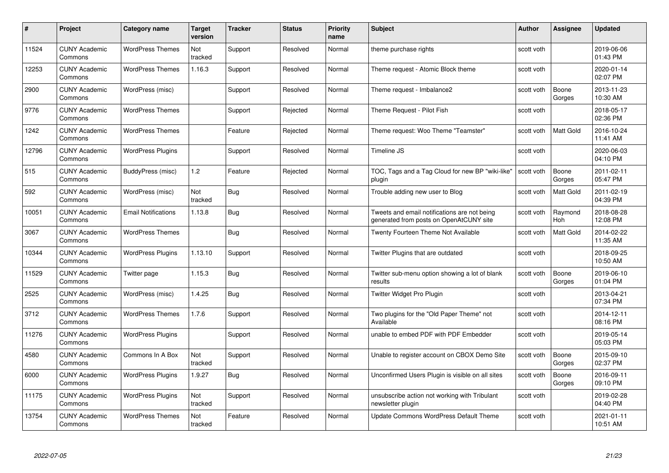| #     | Project                         | Category name              | Target<br>version | <b>Tracker</b> | <b>Status</b> | <b>Priority</b><br>name | <b>Subject</b>                                                                          | <b>Author</b> | Assignee              | <b>Updated</b>         |
|-------|---------------------------------|----------------------------|-------------------|----------------|---------------|-------------------------|-----------------------------------------------------------------------------------------|---------------|-----------------------|------------------------|
| 11524 | <b>CUNY Academic</b><br>Commons | <b>WordPress Themes</b>    | Not<br>tracked    | Support        | Resolved      | Normal                  | theme purchase rights                                                                   | scott voth    |                       | 2019-06-06<br>01:43 PM |
| 12253 | <b>CUNY Academic</b><br>Commons | <b>WordPress Themes</b>    | 1.16.3            | Support        | Resolved      | Normal                  | Theme request - Atomic Block theme                                                      | scott voth    |                       | 2020-01-14<br>02:07 PM |
| 2900  | <b>CUNY Academic</b><br>Commons | WordPress (misc)           |                   | Support        | Resolved      | Normal                  | Theme request - Imbalance2                                                              | scott voth    | Boone<br>Gorges       | 2013-11-23<br>10:30 AM |
| 9776  | <b>CUNY Academic</b><br>Commons | <b>WordPress Themes</b>    |                   | Support        | Rejected      | Normal                  | Theme Request - Pilot Fish                                                              | scott voth    |                       | 2018-05-17<br>02:36 PM |
| 1242  | <b>CUNY Academic</b><br>Commons | <b>WordPress Themes</b>    |                   | Feature        | Rejected      | Normal                  | Theme request: Woo Theme "Teamster"                                                     | scott voth    | Matt Gold             | 2016-10-24<br>11:41 AM |
| 12796 | <b>CUNY Academic</b><br>Commons | <b>WordPress Plugins</b>   |                   | Support        | Resolved      | Normal                  | Timeline JS                                                                             | scott voth    |                       | 2020-06-03<br>04:10 PM |
| 515   | <b>CUNY Academic</b><br>Commons | BuddyPress (misc)          | 1.2               | Feature        | Rejected      | Normal                  | TOC, Tags and a Tag Cloud for new BP "wiki-like"<br>plugin                              | scott voth    | Boone<br>Gorges       | 2011-02-11<br>05:47 PM |
| 592   | <b>CUNY Academic</b><br>Commons | WordPress (misc)           | Not<br>tracked    | Bug            | Resolved      | Normal                  | Trouble adding new user to Blog                                                         | scott voth    | Matt Gold             | 2011-02-19<br>04:39 PM |
| 10051 | <b>CUNY Academic</b><br>Commons | <b>Email Notifications</b> | 1.13.8            | <b>Bug</b>     | Resolved      | Normal                  | Tweets and email notifications are not being<br>generated from posts on OpenAtCUNY site | scott voth    | Raymond<br><b>Hoh</b> | 2018-08-28<br>12:08 PM |
| 3067  | <b>CUNY Academic</b><br>Commons | <b>WordPress Themes</b>    |                   | <b>Bug</b>     | Resolved      | Normal                  | <b>Twenty Fourteen Theme Not Available</b>                                              | scott voth    | Matt Gold             | 2014-02-22<br>11:35 AM |
| 10344 | <b>CUNY Academic</b><br>Commons | <b>WordPress Plugins</b>   | 1.13.10           | Support        | Resolved      | Normal                  | Twitter Plugins that are outdated                                                       | scott voth    |                       | 2018-09-25<br>10:50 AM |
| 11529 | <b>CUNY Academic</b><br>Commons | Twitter page               | 1.15.3            | Bug            | Resolved      | Normal                  | Twitter sub-menu option showing a lot of blank<br>results                               | scott voth    | Boone<br>Gorges       | 2019-06-10<br>01:04 PM |
| 2525  | <b>CUNY Academic</b><br>Commons | WordPress (misc)           | 1.4.25            | <b>Bug</b>     | Resolved      | Normal                  | Twitter Widget Pro Plugin                                                               | scott voth    |                       | 2013-04-21<br>07:34 PM |
| 3712  | <b>CUNY Academic</b><br>Commons | <b>WordPress Themes</b>    | 1.7.6             | Support        | Resolved      | Normal                  | Two plugins for the "Old Paper Theme" not<br>Available                                  | scott voth    |                       | 2014-12-11<br>08:16 PM |
| 11276 | <b>CUNY Academic</b><br>Commons | <b>WordPress Plugins</b>   |                   | Support        | Resolved      | Normal                  | unable to embed PDF with PDF Embedder                                                   | scott voth    |                       | 2019-05-14<br>05:03 PM |
| 4580  | <b>CUNY Academic</b><br>Commons | Commons In A Box           | Not<br>tracked    | Support        | Resolved      | Normal                  | Unable to register account on CBOX Demo Site                                            | scott voth    | Boone<br>Gorges       | 2015-09-10<br>02:37 PM |
| 6000  | <b>CUNY Academic</b><br>Commons | <b>WordPress Plugins</b>   | 1.9.27            | Bug            | Resolved      | Normal                  | Unconfirmed Users Plugin is visible on all sites                                        | scott voth    | Boone<br>Gorges       | 2016-09-11<br>09:10 PM |
| 11175 | <b>CUNY Academic</b><br>Commons | <b>WordPress Plugins</b>   | Not<br>tracked    | Support        | Resolved      | Normal                  | unsubscribe action not working with Tribulant<br>newsletter plugin                      | scott voth    |                       | 2019-02-28<br>04:40 PM |
| 13754 | <b>CUNY Academic</b><br>Commons | <b>WordPress Themes</b>    | Not<br>tracked    | Feature        | Resolved      | Normal                  | Update Commons WordPress Default Theme                                                  | scott voth    |                       | 2021-01-11<br>10:51 AM |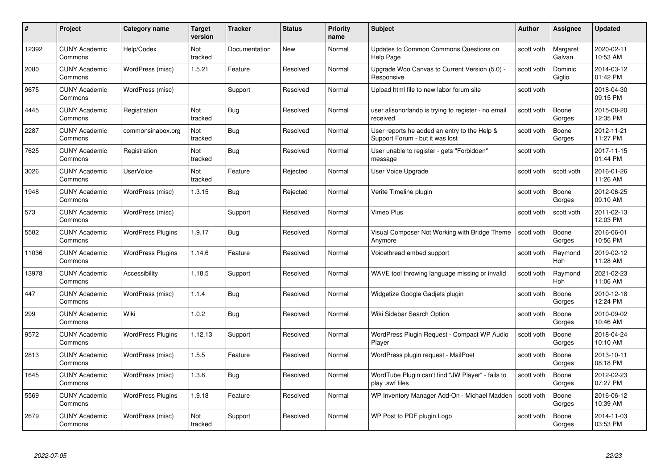| #     | Project                         | Category name            | <b>Target</b><br>version | <b>Tracker</b> | <b>Status</b> | <b>Priority</b><br>name | <b>Subject</b>                                                                  | <b>Author</b> | Assignee              | <b>Updated</b>         |
|-------|---------------------------------|--------------------------|--------------------------|----------------|---------------|-------------------------|---------------------------------------------------------------------------------|---------------|-----------------------|------------------------|
| 12392 | <b>CUNY Academic</b><br>Commons | Help/Codex               | <b>Not</b><br>tracked    | Documentation  | <b>New</b>    | Normal                  | Updates to Common Commons Questions on<br>Help Page                             | scott voth    | Margaret<br>Galvan    | 2020-02-11<br>10:53 AM |
| 2080  | <b>CUNY Academic</b><br>Commons | WordPress (misc)         | 1.5.21                   | Feature        | Resolved      | Normal                  | Upgrade Woo Canvas to Current Version (5.0) -<br>Responsive                     | scott voth    | Dominic<br>Giglio     | 2014-03-12<br>01:42 PM |
| 9675  | <b>CUNY Academic</b><br>Commons | WordPress (misc)         |                          | Support        | Resolved      | Normal                  | Upload html file to new labor forum site                                        | scott voth    |                       | 2018-04-30<br>09:15 PM |
| 4445  | <b>CUNY Academic</b><br>Commons | Registration             | Not<br>tracked           | Bug            | Resolved      | Normal                  | user alisonorlando is trying to register - no email<br>received                 | scott voth    | Boone<br>Gorges       | 2015-08-20<br>12:35 PM |
| 2287  | <b>CUNY Academic</b><br>Commons | commonsinabox.org        | Not<br>tracked           | Bug            | Resolved      | Normal                  | User reports he added an entry to the Help &<br>Support Forum - but it was lost | scott voth    | Boone<br>Gorges       | 2012-11-21<br>11:27 PM |
| 7625  | <b>CUNY Academic</b><br>Commons | Registration             | <b>Not</b><br>tracked    | <b>Bug</b>     | Resolved      | Normal                  | User unable to register - gets "Forbidden"<br>message                           | scott voth    |                       | 2017-11-15<br>01:44 PM |
| 3026  | <b>CUNY Academic</b><br>Commons | <b>UserVoice</b>         | Not<br>tracked           | Feature        | Rejected      | Normal                  | User Voice Upgrade                                                              | scott voth    | scott voth            | 2016-01-26<br>11:26 AM |
| 1948  | <b>CUNY Academic</b><br>Commons | WordPress (misc)         | 1.3.15                   | Bug            | Rejected      | Normal                  | Verite Timeline plugin                                                          | scott voth    | Boone<br>Gorges       | 2012-06-25<br>09:10 AM |
| 573   | <b>CUNY Academic</b><br>Commons | WordPress (misc)         |                          | Support        | Resolved      | Normal                  | Vimeo Plus                                                                      | scott voth    | scott voth            | 2011-02-13<br>12:03 PM |
| 5582  | <b>CUNY Academic</b><br>Commons | <b>WordPress Plugins</b> | 1.9.17                   | <b>Bug</b>     | Resolved      | Normal                  | Visual Composer Not Working with Bridge Theme<br>Anymore                        | scott voth    | Boone<br>Gorges       | 2016-06-01<br>10:56 PM |
| 11036 | <b>CUNY Academic</b><br>Commons | <b>WordPress Plugins</b> | 1.14.6                   | Feature        | Resolved      | Normal                  | Voicethread embed support                                                       | scott voth    | Raymond<br>Hoh        | 2019-02-12<br>11:28 AM |
| 13978 | <b>CUNY Academic</b><br>Commons | Accessibility            | 1.18.5                   | Support        | Resolved      | Normal                  | WAVE tool throwing language missing or invalid                                  | scott voth    | Raymond<br><b>Hoh</b> | 2021-02-23<br>11:06 AM |
| 447   | <b>CUNY Academic</b><br>Commons | WordPress (misc)         | 1.1.4                    | <b>Bug</b>     | Resolved      | Normal                  | Widgetize Google Gadjets plugin                                                 | scott voth    | Boone<br>Gorges       | 2010-12-18<br>12:24 PM |
| 299   | <b>CUNY Academic</b><br>Commons | Wiki                     | 1.0.2                    | <b>Bug</b>     | Resolved      | Normal                  | Wiki Sidebar Search Option                                                      | scott voth    | Boone<br>Gorges       | 2010-09-02<br>10:46 AM |
| 9572  | <b>CUNY Academic</b><br>Commons | <b>WordPress Plugins</b> | 1.12.13                  | Support        | Resolved      | Normal                  | WordPress Plugin Request - Compact WP Audio<br>Player                           | scott voth    | Boone<br>Gorges       | 2018-04-24<br>10:10 AM |
| 2813  | <b>CUNY Academic</b><br>Commons | WordPress (misc)         | 1.5.5                    | Feature        | Resolved      | Normal                  | WordPress plugin request - MailPoet                                             | scott voth    | Boone<br>Gorges       | 2013-10-11<br>08:18 PM |
| 1645  | <b>CUNY Academic</b><br>Commons | WordPress (misc)         | 1.3.8                    | <b>Bug</b>     | Resolved      | Normal                  | WordTube Plugin can't find "JW Player" - fails to<br>play .swf files            | scott voth    | Boone<br>Gorges       | 2012-02-23<br>07:27 PM |
| 5569  | <b>CUNY Academic</b><br>Commons | <b>WordPress Plugins</b> | 1.9.18                   | Feature        | Resolved      | Normal                  | WP Inventory Manager Add-On - Michael Madden                                    | scott voth    | Boone<br>Gorges       | 2016-06-12<br>10:39 AM |
| 2679  | CUNY Academic<br>Commons        | WordPress (misc)         | Not<br>tracked           | Support        | Resolved      | Normal                  | WP Post to PDF plugin Logo                                                      | scott voth    | Boone<br>Gorges       | 2014-11-03<br>03:53 PM |